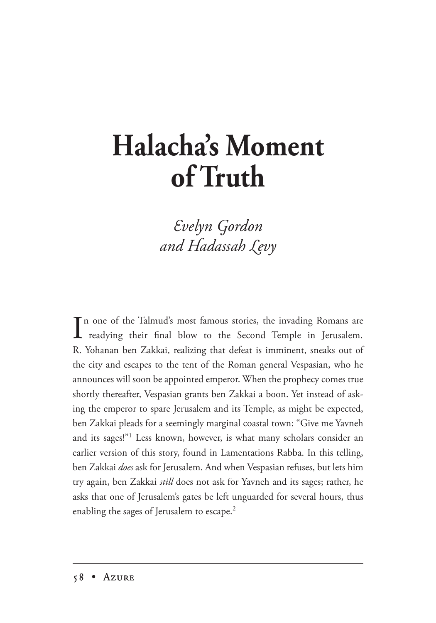## **Halacha's Moment of Truth**

 $Evelyn$  Gordon and Hadassah Levy

In one of the Talmud's most famous stories, the invading Romans are<br>readying their final blow to the Second Temple in Jerusalem. n one of the Talmud's most famous stories, the invading Romans are R. Yohanan ben Zakkai, realizing that defeat is imminent, sneaks out of the city and escapes to the tent of the Roman general Vespasian, who he announces will soon be appointed emperor. When the prophecy comes true shortly thereafter, Vespasian grants ben Zakkai a boon. Yet instead of asking the emperor to spare Jerusalem and its Temple, as might be expected, ben Zakkai pleads for a seemingly marginal coastal town: "Give me Yavneh and its sages!"1 Less known, however, is what many scholars consider an earlier version of this story, found in Lamentations Rabba. In this telling, ben Zakkai *does* ask for Jerusalem. And when Vespasian refuses, but lets him try again, ben Zakkai *still* does not ask for Yavneh and its sages; rather, he asks that one of Jerusalem's gates be left unguarded for several hours, thus enabling the sages of Jerusalem to escape.<sup>2</sup>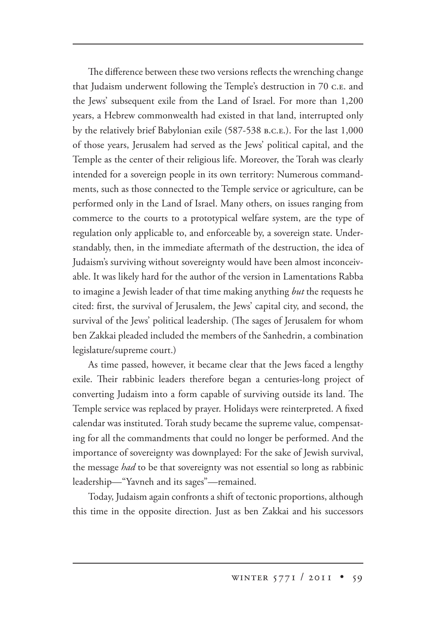The difference between these two versions reflects the wrenching change that Judaism underwent following the Temple's destruction in 70 c. E. and the Jews' subsequent exile from the Land of Israel. For more than 1,200 years, a Hebrew commonwealth had existed in that land, interrupted only by the relatively brief Babylonian exile (587-538 B.C.E.). For the last 1,000 of those years, Jerusalem had served as the Jews' political capital, and the Temple as the center of their religious life. Moreover, the Torah was clearly intended for a sovereign people in its own territory: Numerous commandments, such as those connected to the Temple service or agriculture, can be performed only in the Land of Israel. Many others, on issues ranging from commerce to the courts to a prototypical welfare system, are the type of regulation only applicable to, and enforceable by, a sovereign state. Understandably, then, in the immediate aftermath of the destruction, the idea of Judaism's surviving without sovereignty would have been almost inconceivable. It was likely hard for the author of the version in Lamentations Rabba to imagine a Jewish leader of that time making anything *but* the requests he cited: first, the survival of Jerusalem, the Jews' capital city, and second, the survival of the Jews' political leadership. (The sages of Jerusalem for whom ben Zakkai pleaded included the members of the Sanhedrin, a combination legislature/supreme court.)

As time passed, however, it became clear that the Jews faced a lengthy exile. Their rabbinic leaders therefore began a centuries-long project of converting Judaism into a form capable of surviving outside its land. The Temple service was replaced by prayer. Holidays were reinterpreted. A fixed calendar was instituted. Torah study became the supreme value, compensating for all the commandments that could no longer be performed. And the importance of sovereignty was downplayed: For the sake of Jewish survival, the message *had* to be that sovereignty was not essential so long as rabbinic leadership—"Yavneh and its sages"—remained.

Today, Judaism again confronts a shift of tectonic proportions, although this time in the opposite direction. Just as ben Zakkai and his successors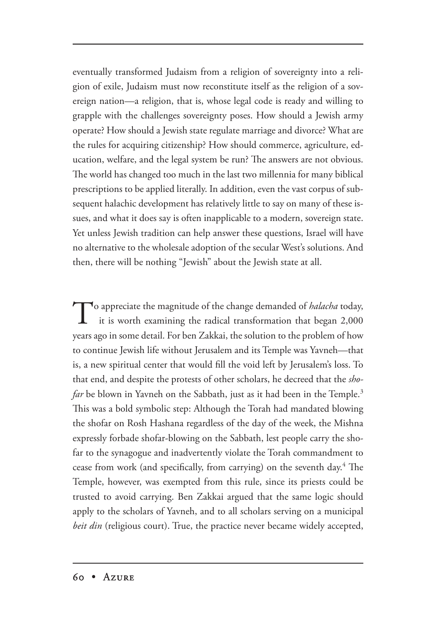eventually transformed Judaism from a religion of sovereignty into a religion of exile, Judaism must now reconstitute itself as the religion of a sovereign nation—a religion, that is, whose legal code is ready and willing to grapple with the challenges sovereignty poses. How should a Jewish army operate? How should a Jewish state regulate marriage and divorce? What are the rules for acquiring citizenship? How should commerce, agriculture, education, welfare, and the legal system be run? The answers are not obvious. The world has changed too much in the last two millennia for many biblical prescriptions to be applied literally. In addition, even the vast corpus of subsequent halachic development has relatively little to say on many of these issues, and what it does say is often inapplicable to a modern, sovereign state. Yet unless Jewish tradition can help answer these questions, Israel will have no alternative to the wholesale adoption of the secular West's solutions. And then, there will be nothing "Jewish" about the Jewish state at all.

To appreciate the magnitude of the change demanded of *halacha* today, it is worth examining the set it is a set of  $\frac{1}{2}$  it is worth examining the radical transformation that began 2,000 years ago in some detail. For ben Zakkai, the solution to the problem of how to continue Jewish life without Jerusalem and its Temple was Yavneh—that is, a new spiritual center that would fill the void left by Jerusalem's loss. To that end, and despite the protests of other scholars, he decreed that the *shofar* be blown in Yavneh on the Sabbath, just as it had been in the Temple.<sup>3</sup> This was a bold symbolic step: Although the Torah had mandated blowing the shofar on Rosh Hashana regardless of the day of the week, the Mishna expressly forbade shofar-blowing on the Sabbath, lest people carry the shofar to the synagogue and inadvertently violate the Torah commandment to cease from work (and specifically, from carrying) on the seventh day.<sup>4</sup> The Temple, however, was exempted from this rule, since its priests could be trusted to avoid carrying. Ben Zakkai argued that the same logic should apply to the scholars of Yavneh, and to all scholars serving on a municipal *beit din* (religious court). True, the practice never became widely accepted,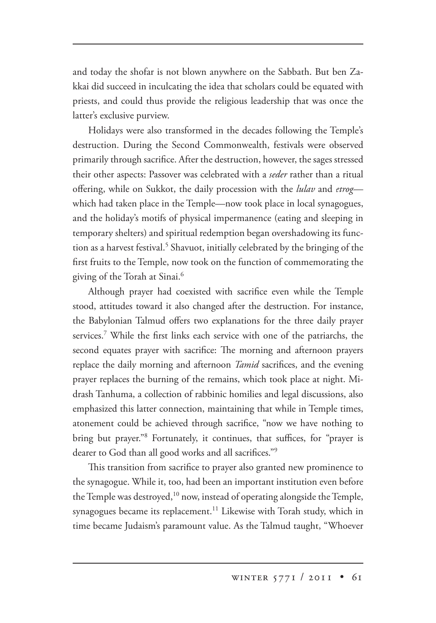and today the shofar is not blown anywhere on the Sabbath. But ben Zakkai did succeed in inculcating the idea that scholars could be equated with priests, and could thus provide the religious leadership that was once the latter's exclusive purview.

Holidays were also transformed in the decades following the Temple's destruction. During the Second Commonwealth, festivals were observed primarily through sacrifice. After the destruction, however, the sages stressed their other aspects: Passover was celebrated with a *seder* rather than a ritual offering, while on Sukkot, the daily procession with the *lulav* and *etrog* which had taken place in the Temple—now took place in local synagogues, and the holiday's motifs of physical impermanence (eating and sleeping in temporary shelters) and spiritual redemption began overshadowing its function as a harvest festival.<sup>5</sup> Shavuot, initially celebrated by the bringing of the first fruits to the Temple, now took on the function of commemorating the giving of the Torah at Sinai.6

Although prayer had coexisted with sacrifice even while the Temple stood, attitudes toward it also changed after the destruction. For instance, the Babylonian Talmud offers two explanations for the three daily prayer services.7 While the first links each service with one of the patriarchs, the second equates prayer with sacrifice: The morning and afternoon prayers replace the daily morning and afternoon *Tamid* sacrifices, and the evening prayer replaces the burning of the remains, which took place at night. Midrash Tanhuma, a collection of rabbinic homilies and legal discussions, also emphasized this latter connection, maintaining that while in Temple times, atonement could be achieved through sacrifice, "now we have nothing to bring but prayer."8 Fortunately, it continues, that suffices, for "prayer is dearer to God than all good works and all sacrifices."9

This transition from sacrifice to prayer also granted new prominence to the synagogue. While it, too, had been an important institution even before the Temple was destroyed, $10$  now, instead of operating alongside the Temple, synagogues became its replacement.<sup>11</sup> Likewise with Torah study, which in time became Judaism's paramount value. As the Talmud taught, "Whoever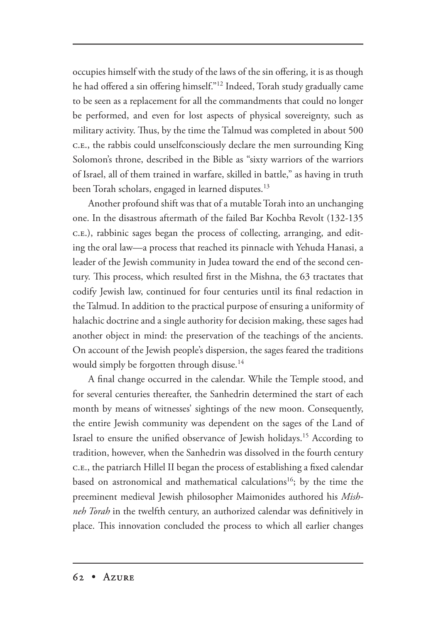occupies himself with the study of the laws of the sin offering, it is as though he had offered a sin offering himself."12 Indeed, Torah study gradually came to be seen as a replacement for all the commandments that could no longer be performed, and even for lost aspects of physical sovereignty, such as military activity. Thus, by the time the Talmud was completed in about 500 .., the rabbis could unselfconsciously declare the men surrounding King Solomon's throne, described in the Bible as "sixty warriors of the warriors of Israel, all of them trained in warfare, skilled in battle," as having in truth been Torah scholars, engaged in learned disputes.<sup>13</sup>

Another profound shift was that of a mutable Torah into an unchanging one. In the disastrous aftermath of the failed Bar Kochba Revolt (132-135 ..), rabbinic sages began the process of collecting, arranging, and editing the oral law—a process that reached its pinnacle with Yehuda Hanasi, a leader of the Jewish community in Judea toward the end of the second century. This process, which resulted first in the Mishna, the 63 tractates that codify Jewish law, continued for four centuries until its final redaction in the Talmud. In addition to the practical purpose of ensuring a uniformity of halachic doctrine and a single authority for decision making, these sages had another object in mind: the preservation of the teachings of the ancients. On account of the Jewish people's dispersion, the sages feared the traditions would simply be forgotten through disuse.<sup>14</sup>

A final change occurred in the calendar. While the Temple stood, and for several centuries thereafter, the Sanhedrin determined the start of each month by means of witnesses' sightings of the new moon. Consequently, the entire Jewish community was dependent on the sages of the Land of Israel to ensure the unified observance of Jewish holidays.<sup>15</sup> According to tradition, however, when the Sanhedrin was dissolved in the fourth century .., the patriarch Hillel II began the process of establishing a fixed calendar based on astronomical and mathematical calculations<sup>16</sup>; by the time the preeminent medieval Jewish philosopher Maimonides authored his *Mishneh Torah* in the twelfth century, an authorized calendar was definitively in place. This innovation concluded the process to which all earlier changes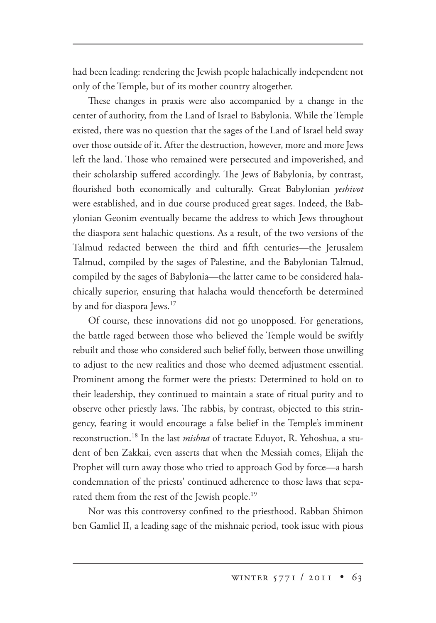had been leading: rendering the Jewish people halachically independent not only of the Temple, but of its mother country altogether.

These changes in praxis were also accompanied by a change in the center of authority, from the Land of Israel to Babylonia. While the Temple existed, there was no question that the sages of the Land of Israel held sway over those outside of it. After the destruction, however, more and more Jews left the land. Those who remained were persecuted and impoverished, and their scholarship suffered accordingly. The Jews of Babylonia, by contrast, flourished both economically and culturally. Great Babylonian *yeshivot*  were established, and in due course produced great sages. Indeed, the Babylonian Geonim eventually became the address to which Jews throughout the diaspora sent halachic questions. As a result, of the two versions of the Talmud redacted between the third and fifth centuries—the Jerusalem Talmud, compiled by the sages of Palestine, and the Babylonian Talmud, compiled by the sages of Babylonia—the latter came to be considered halachically superior, ensuring that halacha would thenceforth be determined by and for diaspora Jews.<sup>17</sup>

Of course, these innovations did not go unopposed. For generations, the battle raged between those who believed the Temple would be swiftly rebuilt and those who considered such belief folly, between those unwilling to adjust to the new realities and those who deemed adjustment essential. Prominent among the former were the priests: Determined to hold on to their leadership, they continued to maintain a state of ritual purity and to observe other priestly laws. The rabbis, by contrast, objected to this stringency, fearing it would encourage a false belief in the Temple's imminent reconstruction.<sup>18</sup> In the last *mishna* of tractate Eduyot, R. Yehoshua, a student of ben Zakkai, even asserts that when the Messiah comes, Elijah the Prophet will turn away those who tried to approach God by force—a harsh condemnation of the priests' continued adherence to those laws that separated them from the rest of the Jewish people.<sup>19</sup>

Nor was this controversy confined to the priesthood. Rabban Shimon ben Gamliel II, a leading sage of the mishnaic period, took issue with pious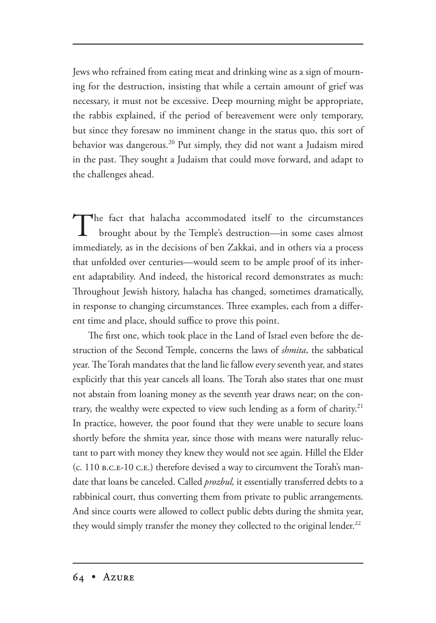Jews who refrained from eating meat and drinking wine as a sign of mourning for the destruction, insisting that while a certain amount of grief was necessary, it must not be excessive. Deep mourning might be appropriate, the rabbis explained, if the period of bereavement were only temporary, but since they foresaw no imminent change in the status quo, this sort of behavior was dangerous.20 Put simply, they did not want a Judaism mired in the past. They sought a Judaism that could move forward, and adapt to the challenges ahead.

The fact that halacha accommodated itself to the circumstances brought about by the Temple's destruction—in some cases almost immediately, as in the decisions of ben Zakkai, and in others via a process that unfolded over centuries—would seem to be ample proof of its inherent adaptability. And indeed, the historical record demonstrates as much: Throughout Jewish history, halacha has changed, sometimes dramatically, in response to changing circumstances. Three examples, each from a different time and place, should suffice to prove this point.

The first one, which took place in the Land of Israel even before the destruction of the Second Temple, concerns the laws of *shmita*, the sabbatical year. The Torah mandates that the land lie fallow every seventh year, and states explicitly that this year cancels all loans. The Torah also states that one must not abstain from loaning money as the seventh year draws near; on the contrary, the wealthy were expected to view such lending as a form of charity.<sup>21</sup> In practice, however, the poor found that they were unable to secure loans shortly before the shmita year, since those with means were naturally reluctant to part with money they knew they would not see again. Hillel the Elder  $(c. 110 B.C.E-10 C.E.)$  therefore devised a way to circumvent the Torah's mandate that loans be canceled. Called *prozbul,* it essentially transferred debts to a rabbinical court, thus converting them from private to public arrangements. And since courts were allowed to collect public debts during the shmita year, they would simply transfer the money they collected to the original lender.<sup>22</sup>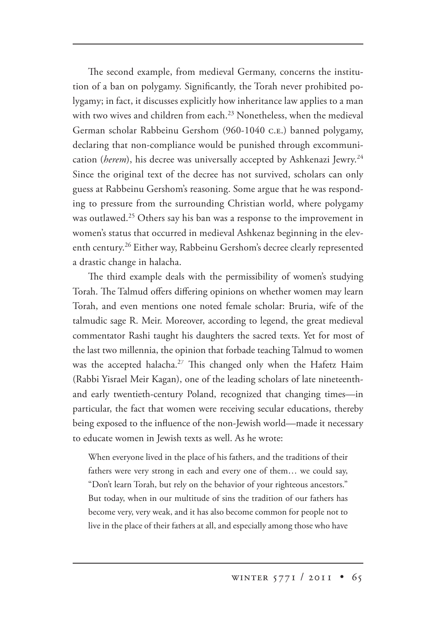The second example, from medieval Germany, concerns the institution of a ban on polygamy. Significantly, the Torah never prohibited polygamy; in fact, it discusses explicitly how inheritance law applies to a man with two wives and children from each. $^{23}$  Nonetheless, when the medieval German scholar Rabbeinu Gershom (960-1040 c.e.) banned polygamy, declaring that non-compliance would be punished through excommunication (*herem*), his decree was universally accepted by Ashkenazi Jewry.<sup>24</sup> Since the original text of the decree has not survived, scholars can only guess at Rabbeinu Gershom's reasoning. Some argue that he was responding to pressure from the surrounding Christian world, where polygamy was outlawed.<sup>25</sup> Others say his ban was a response to the improvement in women's status that occurred in medieval Ashkenaz beginning in the eleventh century.<sup>26</sup> Either way, Rabbeinu Gershom's decree clearly represented a drastic change in halacha.

The third example deals with the permissibility of women's studying Torah. The Talmud offers differing opinions on whether women may learn Torah, and even mentions one noted female scholar: Bruria, wife of the talmudic sage R. Meir. Moreover, according to legend, the great medieval commentator Rashi taught his daughters the sacred texts. Yet for most of the last two millennia, the opinion that forbade teaching Talmud to women was the accepted halacha.<sup>27</sup> This changed only when the Hafetz Haim (Rabbi Yisrael Meir Kagan), one of the leading scholars of late nineteenthand early twentieth-century Poland, recognized that changing times—in particular, the fact that women were receiving secular educations, thereby being exposed to the influence of the non-Jewish world—made it necessary to educate women in Jewish texts as well. As he wrote:

When everyone lived in the place of his fathers, and the traditions of their fathers were very strong in each and every one of them… we could say, "Don't learn Torah, but rely on the behavior of your righteous ancestors." But today, when in our multitude of sins the tradition of our fathers has become very, very weak, and it has also become common for people not to live in the place of their fathers at all, and especially among those who have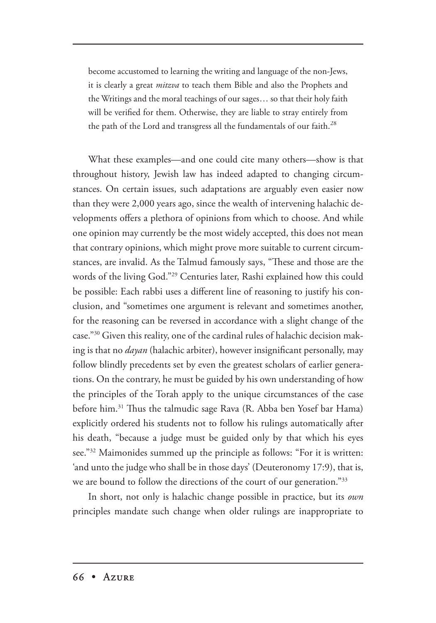become accustomed to learning the writing and language of the non-Jews, it is clearly a great *mitzva* to teach them Bible and also the Prophets and the Writings and the moral teachings of our sages… so that their holy faith will be verified for them. Otherwise, they are liable to stray entirely from the path of the Lord and transgress all the fundamentals of our faith. $^{28}$ 

What these examples—and one could cite many others—show is that throughout history, Jewish law has indeed adapted to changing circumstances. On certain issues, such adaptations are arguably even easier now than they were 2,000 years ago, since the wealth of intervening halachic developments offers a plethora of opinions from which to choose. And while one opinion may currently be the most widely accepted, this does not mean that contrary opinions, which might prove more suitable to current circumstances, are invalid. As the Talmud famously says, "These and those are the words of the living God."29 Centuries later, Rashi explained how this could be possible: Each rabbi uses a different line of reasoning to justify his conclusion, and "sometimes one argument is relevant and sometimes another, for the reasoning can be reversed in accordance with a slight change of the case."30 Given this reality, one of the cardinal rules of halachic decision making is that no *dayan* (halachic arbiter), however insignificant personally, may follow blindly precedents set by even the greatest scholars of earlier generations. On the contrary, he must be guided by his own understanding of how the principles of the Torah apply to the unique circumstances of the case before him.<sup>31</sup> Thus the talmudic sage Rava (R. Abba ben Yosef bar Hama) explicitly ordered his students not to follow his rulings automatically after his death, "because a judge must be guided only by that which his eyes see."32 Maimonides summed up the principle as follows: "For it is written: 'and unto the judge who shall be in those days' (Deuteronomy 17:9), that is, we are bound to follow the directions of the court of our generation."33

In short, not only is halachic change possible in practice, but its *own* principles mandate such change when older rulings are inappropriate to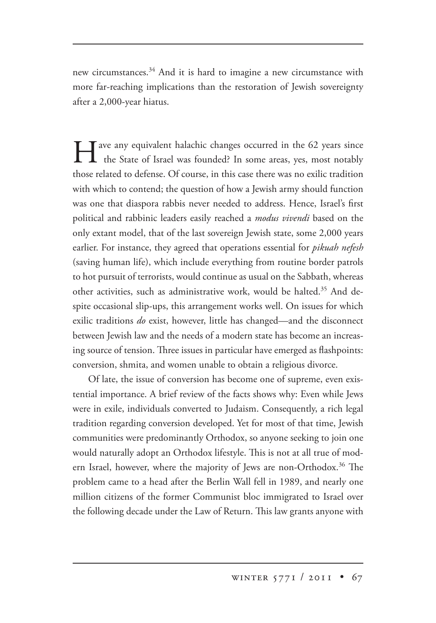new circumstances.34 And it is hard to imagine a new circumstance with more far-reaching implications than the restoration of Jewish sovereignty after a 2,000-year hiatus.

I ave any equivalent halachic changes occurred in the 62 years since the State of Israel was founded? In some areas, yes, most notably those related to defense. Of course, in this case there was no exilic tradition with which to contend; the question of how a Jewish army should function was one that diaspora rabbis never needed to address. Hence, Israel's first political and rabbinic leaders easily reached a *modus vivendi* based on the only extant model, that of the last sovereign Jewish state, some 2,000 years earlier. For instance, they agreed that operations essential for *pikuah nefesh* (saving human life), which include everything from routine border patrols to hot pursuit of terrorists, would continue as usual on the Sabbath, whereas other activities, such as administrative work, would be halted.<sup>35</sup> And despite occasional slip-ups, this arrangement works well. On issues for which exilic traditions *do* exist, however, little has changed—and the disconnect between Jewish law and the needs of a modern state has become an increasing source of tension. Three issues in particular have emerged as flashpoints: conversion, shmita, and women unable to obtain a religious divorce.

Of late, the issue of conversion has become one of supreme, even existential importance. A brief review of the facts shows why: Even while Jews were in exile, individuals converted to Judaism. Consequently, a rich legal tradition regarding conversion developed. Yet for most of that time, Jewish communities were predominantly Orthodox, so anyone seeking to join one would naturally adopt an Orthodox lifestyle. This is not at all true of modern Israel, however, where the majority of Jews are non-Orthodox.<sup>36</sup> The problem came to a head after the Berlin Wall fell in 1989, and nearly one million citizens of the former Communist bloc immigrated to Israel over the following decade under the Law of Return. This law grants anyone with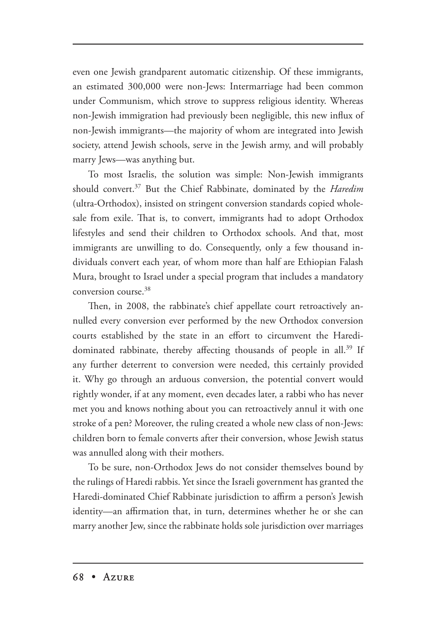even one Jewish grandparent automatic citizenship. Of these immigrants, an estimated 300,000 were non-Jews: Intermarriage had been common under Communism, which strove to suppress religious identity. Whereas non-Jewish immigration had previously been negligible, this new influx of non-Jewish immigrants—the majority of whom are integrated into Jewish society, attend Jewish schools, serve in the Jewish army, and will probably marry Jews—was anything but.

To most Israelis, the solution was simple: Non-Jewish immigrants should convert.<sup>37</sup> But the Chief Rabbinate, dominated by the *Haredim* (ultra-Orthodox), insisted on stringent conversion standards copied wholesale from exile. That is, to convert, immigrants had to adopt Orthodox lifestyles and send their children to Orthodox schools. And that, most immigrants are unwilling to do. Consequently, only a few thousand individuals convert each year, of whom more than half are Ethiopian Falash Mura, brought to Israel under a special program that includes a mandatory conversion course.38

Then, in 2008, the rabbinate's chief appellate court retroactively annulled every conversion ever performed by the new Orthodox conversion courts established by the state in an effort to circumvent the Haredidominated rabbinate, thereby affecting thousands of people in all.<sup>39</sup> If any further deterrent to conversion were needed, this certainly provided it. Why go through an arduous conversion, the potential convert would rightly wonder, if at any moment, even decades later, a rabbi who has never met you and knows nothing about you can retroactively annul it with one stroke of a pen? Moreover, the ruling created a whole new class of non-Jews: children born to female converts after their conversion, whose Jewish status was annulled along with their mothers.

To be sure, non-Orthodox Jews do not consider themselves bound by the rulings of Haredi rabbis. Yet since the Israeli government has granted the Haredi-dominated Chief Rabbinate jurisdiction to affirm a person's Jewish identity—an affirmation that, in turn, determines whether he or she can marry another Jew, since the rabbinate holds sole jurisdiction over marriages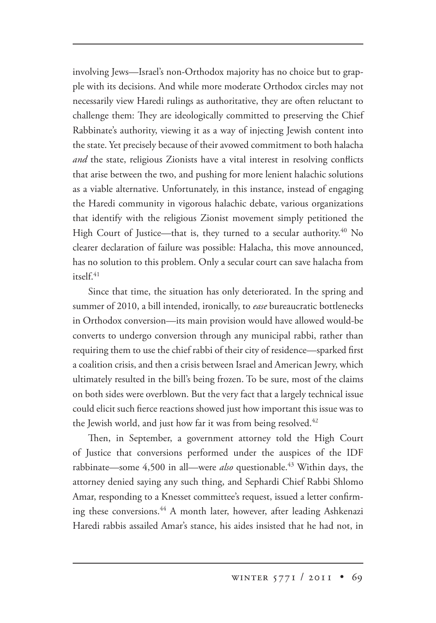involving Jews—Israel's non-Orthodox majority has no choice but to grapple with its decisions. And while more moderate Orthodox circles may not necessarily view Haredi rulings as authoritative, they are often reluctant to challenge them: They are ideologically committed to preserving the Chief Rabbinate's authority, viewing it as a way of injecting Jewish content into the state. Yet precisely because of their avowed commitment to both halacha *and* the state, religious Zionists have a vital interest in resolving conflicts that arise between the two, and pushing for more lenient halachic solutions as a viable alternative. Unfortunately, in this instance, instead of engaging the Haredi community in vigorous halachic debate, various organizations that identify with the religious Zionist movement simply petitioned the High Court of Justice—that is, they turned to a secular authority.<sup>40</sup> No clearer declaration of failure was possible: Halacha, this move announced, has no solution to this problem. Only a secular court can save halacha from  $i$ tsel $f$ <sup>41</sup>

Since that time, the situation has only deteriorated. In the spring and summer of 2010, a bill intended, ironically, to *ease* bureaucratic bottlenecks in Orthodox conversion—its main provision would have allowed would-be converts to undergo conversion through any municipal rabbi, rather than requiring them to use the chief rabbi of their city of residence—sparked first a coalition crisis, and then a crisis between Israel and American Jewry, which ultimately resulted in the bill's being frozen. To be sure, most of the claims on both sides were overblown. But the very fact that a largely technical issue could elicit such fierce reactions showed just how important this issue was to the Jewish world, and just how far it was from being resolved. $42$ 

Then, in September, a government attorney told the High Court of Justice that conversions performed under the auspices of the IDF rabbinate—some 4,500 in all—were *also* questionable.<sup>43</sup> Within days, the attorney denied saying any such thing, and Sephardi Chief Rabbi Shlomo Amar, responding to a Knesset committee's request, issued a letter confirming these conversions.<sup>44</sup> A month later, however, after leading Ashkenazi Haredi rabbis assailed Amar's stance, his aides insisted that he had not, in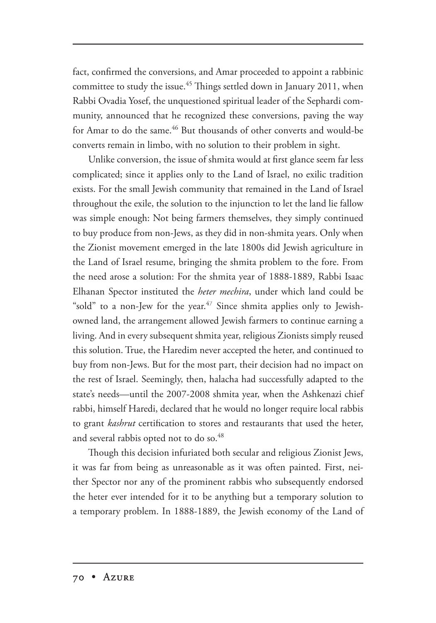fact, confirmed the conversions, and Amar proceeded to appoint a rabbinic committee to study the issue.<sup>45</sup> Things settled down in January 2011, when Rabbi Ovadia Yosef, the unquestioned spiritual leader of the Sephardi community, announced that he recognized these conversions, paving the way for Amar to do the same.<sup>46</sup> But thousands of other converts and would-be converts remain in limbo, with no solution to their problem in sight.

Unlike conversion, the issue of shmita would at first glance seem far less complicated; since it applies only to the Land of Israel, no exilic tradition exists. For the small Jewish community that remained in the Land of Israel throughout the exile, the solution to the injunction to let the land lie fallow was simple enough: Not being farmers themselves, they simply continued to buy produce from non-Jews, as they did in non-shmita years. Only when the Zionist movement emerged in the late 1800s did Jewish agriculture in the Land of Israel resume, bringing the shmita problem to the fore. From the need arose a solution: For the shmita year of 1888-1889, Rabbi Isaac Elhanan Spector instituted the *heter mechira*, under which land could be "sold" to a non-Jew for the year. $47$  Since shmita applies only to Jewishowned land, the arrangement allowed Jewish farmers to continue earning a living. And in every subsequent shmita year, religious Zionists simply reused this solution. True, the Haredim never accepted the heter, and continued to buy from non-Jews. But for the most part, their decision had no impact on the rest of Israel. Seemingly, then, halacha had successfully adapted to the state's needs—until the 2007-2008 shmita year, when the Ashkenazi chief rabbi, himself Haredi, declared that he would no longer require local rabbis to grant *kashrut* certification to stores and restaurants that used the heter, and several rabbis opted not to do so.<sup>48</sup>

Though this decision infuriated both secular and religious Zionist Jews, it was far from being as unreasonable as it was often painted. First, neither Spector nor any of the prominent rabbis who subsequently endorsed the heter ever intended for it to be anything but a temporary solution to a temporary problem. In 1888-1889, the Jewish economy of the Land of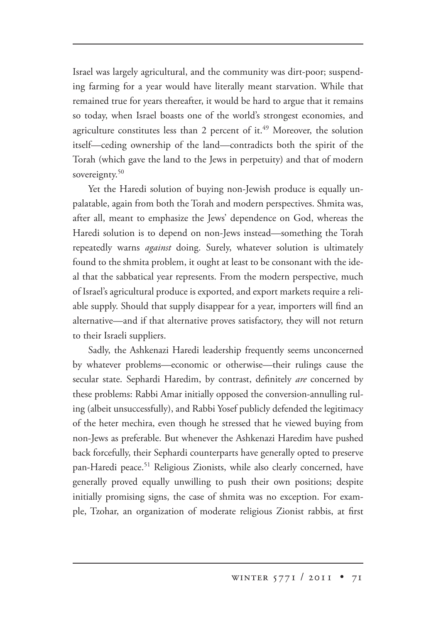Israel was largely agricultural, and the community was dirt-poor; suspending farming for a year would have literally meant starvation. While that remained true for years thereafter, it would be hard to argue that it remains so today, when Israel boasts one of the world's strongest economies, and agriculture constitutes less than 2 percent of it.<sup>49</sup> Moreover, the solution itself—ceding ownership of the land—contradicts both the spirit of the Torah (which gave the land to the Jews in perpetuity) and that of modern sovereignty.<sup>50</sup>

Yet the Haredi solution of buying non-Jewish produce is equally unpalatable, again from both the Torah and modern perspectives. Shmita was, after all, meant to emphasize the Jews' dependence on God, whereas the Haredi solution is to depend on non-Jews instead—something the Torah repeatedly warns *against* doing. Surely, whatever solution is ultimately found to the shmita problem, it ought at least to be consonant with the ideal that the sabbatical year represents. From the modern perspective, much of Israel's agricultural produce is exported, and export markets require a reliable supply. Should that supply disappear for a year, importers will find an alternative—and if that alternative proves satisfactory, they will not return to their Israeli suppliers.

Sadly, the Ashkenazi Haredi leadership frequently seems unconcerned by whatever problems—economic or otherwise—their rulings cause the secular state. Sephardi Haredim, by contrast, definitely *are* concerned by these problems: Rabbi Amar initially opposed the conversion-annulling ruling (albeit unsuccessfully), and Rabbi Yosef publicly defended the legitimacy of the heter mechira, even though he stressed that he viewed buying from non-Jews as preferable. But whenever the Ashkenazi Haredim have pushed back forcefully, their Sephardi counterparts have generally opted to preserve pan-Haredi peace.<sup>51</sup> Religious Zionists, while also clearly concerned, have generally proved equally unwilling to push their own positions; despite initially promising signs, the case of shmita was no exception. For example, Tzohar, an organization of moderate religious Zionist rabbis, at first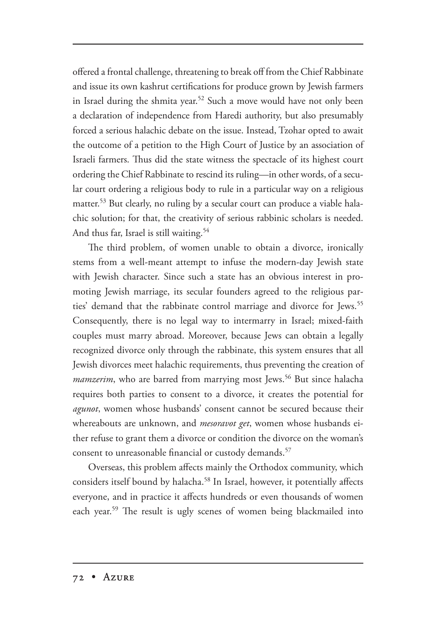offered a frontal challenge, threatening to break off from the Chief Rabbinate and issue its own kashrut certifications for produce grown by Jewish farmers in Israel during the shmita year.<sup>52</sup> Such a move would have not only been a declaration of independence from Haredi authority, but also presumably forced a serious halachic debate on the issue. Instead, Tzohar opted to await the outcome of a petition to the High Court of Justice by an association of Israeli farmers. Thus did the state witness the spectacle of its highest court ordering the Chief Rabbinate to rescind its ruling—in other words, of a secular court ordering a religious body to rule in a particular way on a religious matter.53 But clearly, no ruling by a secular court can produce a viable halachic solution; for that, the creativity of serious rabbinic scholars is needed. And thus far, Israel is still waiting.<sup>54</sup>

The third problem, of women unable to obtain a divorce, ironically stems from a well-meant attempt to infuse the modern-day Jewish state with Jewish character. Since such a state has an obvious interest in promoting Jewish marriage, its secular founders agreed to the religious parties' demand that the rabbinate control marriage and divorce for Jews.<sup>55</sup> Consequently, there is no legal way to intermarry in Israel; mixed-faith couples must marry abroad. Moreover, because Jews can obtain a legally recognized divorce only through the rabbinate, this system ensures that all Jewish divorces meet halachic requirements, thus preventing the creation of mamzerim, who are barred from marrying most Jews.<sup>56</sup> But since halacha requires both parties to consent to a divorce, it creates the potential for *agunot*, women whose husbands' consent cannot be secured because their whereabouts are unknown, and *mesoravot get*, women whose husbands either refuse to grant them a divorce or condition the divorce on the woman's consent to unreasonable financial or custody demands.<sup>57</sup>

Overseas, this problem affects mainly the Orthodox community, which considers itself bound by halacha.<sup>58</sup> In Israel, however, it potentially affects everyone, and in practice it affects hundreds or even thousands of women each year.<sup>59</sup> The result is ugly scenes of women being blackmailed into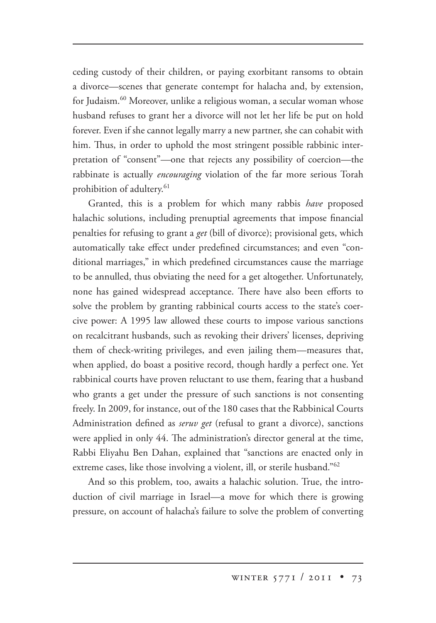ceding custody of their children, or paying exorbitant ransoms to obtain a divorce—scenes that generate contempt for halacha and, by extension, for Judaism.60 Moreover, unlike a religious woman, a secular woman whose husband refuses to grant her a divorce will not let her life be put on hold forever. Even if she cannot legally marry a new partner, she can cohabit with him. Thus, in order to uphold the most stringent possible rabbinic interpretation of "consent"—one that rejects any possibility of coercion—the rabbinate is actually *encouraging* violation of the far more serious Torah prohibition of adultery.<sup>61</sup>

Granted, this is a problem for which many rabbis *have* proposed halachic solutions, including prenuptial agreements that impose financial penalties for refusing to grant a *get* (bill of divorce); provisional gets, which automatically take effect under predefined circumstances; and even "conditional marriages," in which predefined circumstances cause the marriage to be annulled, thus obviating the need for a get altogether. Unfortunately, none has gained widespread acceptance. There have also been efforts to solve the problem by granting rabbinical courts access to the state's coercive power: A 1995 law allowed these courts to impose various sanctions on recalcitrant husbands, such as revoking their drivers' licenses, depriving them of check-writing privileges, and even jailing them—measures that, when applied, do boast a positive record, though hardly a perfect one. Yet rabbinical courts have proven reluctant to use them, fearing that a husband who grants a get under the pressure of such sanctions is not consenting freely. In 2009, for instance, out of the 180 cases that the Rabbinical Courts Administration defined as *seruv get* (refusal to grant a divorce), sanctions were applied in only 44. The administration's director general at the time, Rabbi Eliyahu Ben Dahan, explained that "sanctions are enacted only in extreme cases, like those involving a violent, ill, or sterile husband."<sup>62</sup>

And so this problem, too, awaits a halachic solution. True, the introduction of civil marriage in Israel—a move for which there is growing pressure, on account of halacha's failure to solve the problem of converting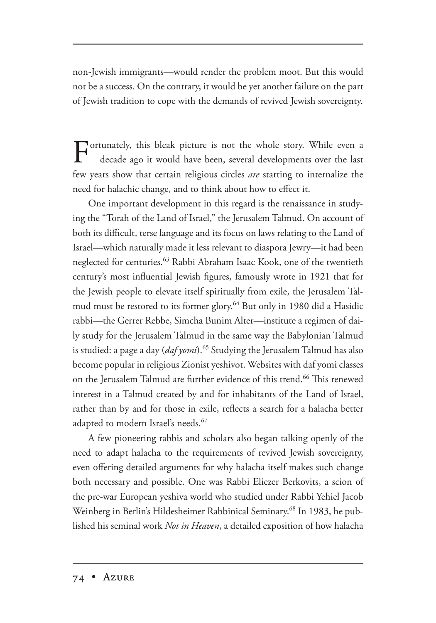non-Jewish immigrants—would render the problem moot. But this would not be a success. On the contrary, it would be yet another failure on the part of Jewish tradition to cope with the demands of revived Jewish sovereignty.

Fortunately, this bleak picture is not the whole story. While even a decade and it would be decade ago it would have been, several developments over the last few years show that certain religious circles *are* starting to internalize the need for halachic change, and to think about how to effect it.

One important development in this regard is the renaissance in studying the "Torah of the Land of Israel," the Jerusalem Talmud. On account of both its difficult, terse language and its focus on laws relating to the Land of Israel—which naturally made it less relevant to diaspora Jewry—it had been neglected for centuries.<sup>63</sup> Rabbi Abraham Isaac Kook, one of the twentieth century's most influential Jewish figures, famously wrote in 1921 that for the Jewish people to elevate itself spiritually from exile, the Jerusalem Talmud must be restored to its former glory.<sup>64</sup> But only in 1980 did a Hasidic rabbi—the Gerrer Rebbe, Simcha Bunim Alter—institute a regimen of daily study for the Jerusalem Talmud in the same way the Babylonian Talmud is studied: a page a day (*daf yomi*).<sup>65</sup> Studying the Jerusalem Talmud has also become popular in religious Zionist yeshivot. Websites with daf yomi classes on the Jerusalem Talmud are further evidence of this trend.<sup>66</sup> This renewed interest in a Talmud created by and for inhabitants of the Land of Israel, rather than by and for those in exile, reflects a search for a halacha better adapted to modern Israel's needs.<sup>67</sup>

A few pioneering rabbis and scholars also began talking openly of the need to adapt halacha to the requirements of revived Jewish sovereignty, even offering detailed arguments for why halacha itself makes such change both necessary and possible. One was Rabbi Eliezer Berkovits, a scion of the pre-war European yeshiva world who studied under Rabbi Yehiel Jacob Weinberg in Berlin's Hildesheimer Rabbinical Seminary.<sup>68</sup> In 1983, he published his seminal work *Not in Heaven*, a detailed exposition of how halacha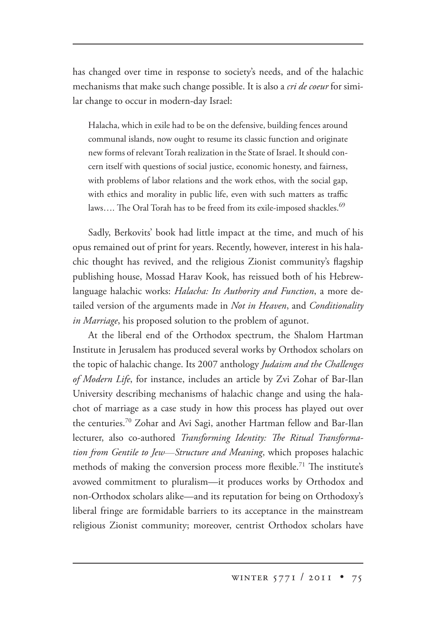has changed over time in response to society's needs, and of the halachic mechanisms that make such change possible. It is also a *cri de coeur* for similar change to occur in modern-day Israel:

Halacha, which in exile had to be on the defensive, building fences around communal islands, now ought to resume its classic function and originate new forms of relevant Torah realization in the State of Israel. It should concern itself with questions of social justice, economic honesty, and fairness, with problems of labor relations and the work ethos, with the social gap, with ethics and morality in public life, even with such matters as traffic laws.... The Oral Torah has to be freed from its exile-imposed shackles.<sup>69</sup>

Sadly, Berkovits' book had little impact at the time, and much of his opus remained out of print for years. Recently, however, interest in his halachic thought has revived, and the religious Zionist community's flagship publishing house, Mossad Harav Kook, has reissued both of his Hebrewlanguage halachic works: *Halacha: Its Authority and Function*, a more detailed version of the arguments made in *Not in Heaven*, and *Conditionality in Marriage*, his proposed solution to the problem of agunot.

At the liberal end of the Orthodox spectrum, the Shalom Hartman Institute in Jerusalem has produced several works by Orthodox scholars on the topic of halachic change. Its 2007 anthology *Judaism and the Challenges of Modern Life*, for instance, includes an article by Zvi Zohar of Bar-Ilan University describing mechanisms of halachic change and using the halachot of marriage as a case study in how this process has played out over the centuries.<sup>70</sup> Zohar and Avi Sagi, another Hartman fellow and Bar-Ilan lecturer, also co-authored *Transforming Identity: The Ritual Transformation from Gentile to Jew*—*Structure and Meaning* , which proposes halachic methods of making the conversion process more flexible.<sup>71</sup> The institute's avowed commitment to pluralism—it produces works by Orthodox and non-Orthodox scholars alike—and its reputation for being on Orthodoxy's liberal fringe are formidable barriers to its acceptance in the mainstream religious Zionist community; moreover, centrist Orthodox scholars have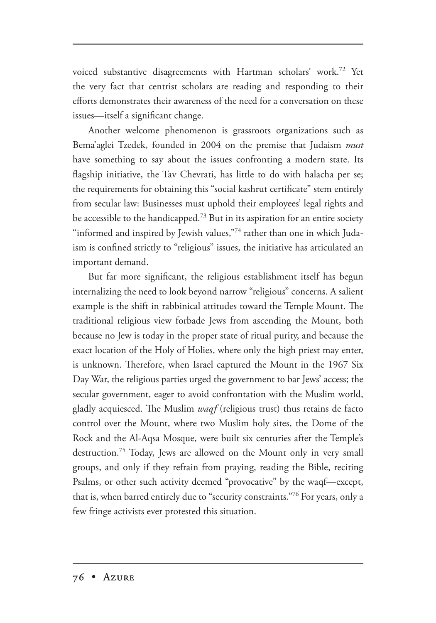voiced substantive disagreements with Hartman scholars' work.<sup>72</sup> Yet the very fact that centrist scholars are reading and responding to their efforts demonstrates their awareness of the need for a conversation on these issues—itself a significant change.

Another welcome phenomenon is grassroots organizations such as Bema'aglei Tzedek, founded in 2004 on the premise that Judaism *must* have something to say about the issues confronting a modern state. Its flagship initiative, the Tav Chevrati, has little to do with halacha per se; the requirements for obtaining this "social kashrut certificate" stem entirely from secular law: Businesses must uphold their employees' legal rights and be accessible to the handicapped.<sup>73</sup> But in its aspiration for an entire society "informed and inspired by Jewish values,"<sup>74</sup> rather than one in which Judaism is confined strictly to "religious" issues, the initiative has articulated an important demand.

But far more significant, the religious establishment itself has begun internalizing the need to look beyond narrow "religious" concerns. A salient example is the shift in rabbinical attitudes toward the Temple Mount. The traditional religious view forbade Jews from ascending the Mount, both because no Jew is today in the proper state of ritual purity, and because the exact location of the Holy of Holies, where only the high priest may enter, is unknown. Therefore, when Israel captured the Mount in the 1967 Six Day War, the religious parties urged the government to bar Jews' access; the secular government, eager to avoid confrontation with the Muslim world, gladly acquiesced. The Muslim *waqf* (religious trust) thus retains de facto control over the Mount, where two Muslim holy sites, the Dome of the Rock and the Al-Aqsa Mosque, were built six centuries after the Temple's destruction.75 Today, Jews are allowed on the Mount only in very small groups, and only if they refrain from praying, reading the Bible, reciting Psalms, or other such activity deemed "provocative" by the waqf—except, that is, when barred entirely due to "security constraints."<sup>76</sup> For years, only a few fringe activists ever protested this situation.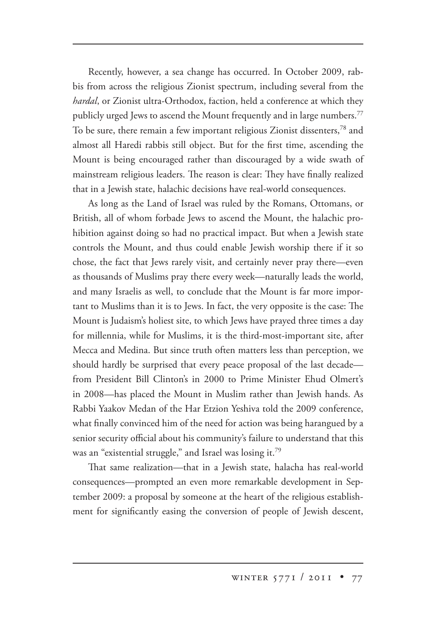Recently, however, a sea change has occurred. In October 2009, rabbis from across the religious Zionist spectrum, including several from the *hardal*, or Zionist ultra-Orthodox, faction, held a conference at which they publicly urged Jews to ascend the Mount frequently and in large numbers.<sup>77</sup> To be sure, there remain a few important religious Zionist dissenters,<sup>78</sup> and almost all Haredi rabbis still object. But for the first time, ascending the Mount is being encouraged rather than discouraged by a wide swath of mainstream religious leaders. The reason is clear: They have finally realized that in a Jewish state, halachic decisions have real-world consequences.

As long as the Land of Israel was ruled by the Romans, Ottomans, or British, all of whom forbade Jews to ascend the Mount, the halachic prohibition against doing so had no practical impact. But when a Jewish state controls the Mount, and thus could enable Jewish worship there if it so chose, the fact that Jews rarely visit, and certainly never pray there—even as thousands of Muslims pray there every week—naturally leads the world, and many Israelis as well, to conclude that the Mount is far more important to Muslims than it is to Jews. In fact, the very opposite is the case: The Mount is Judaism's holiest site, to which Jews have prayed three times a day for millennia, while for Muslims, it is the third-most-important site, after Mecca and Medina. But since truth often matters less than perception, we should hardly be surprised that every peace proposal of the last decade from President Bill Clinton's in 2000 to Prime Minister Ehud Olmert's in 2008—has placed the Mount in Muslim rather than Jewish hands. As Rabbi Yaakov Medan of the Har Etzion Yeshiva told the 2009 conference, what finally convinced him of the need for action was being harangued by a senior security official about his community's failure to understand that this was an "existential struggle," and Israel was losing it.<sup>79</sup>

That same realization—that in a Jewish state, halacha has real-world consequences—prompted an even more remarkable development in September 2009: a proposal by someone at the heart of the religious establishment for significantly easing the conversion of people of Jewish descent,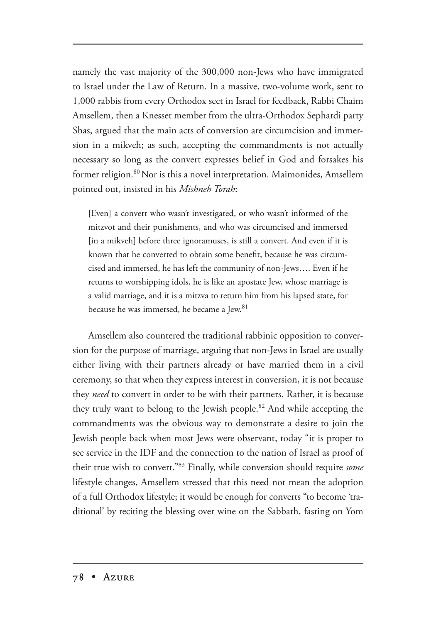namely the vast majority of the 300,000 non-Jews who have immigrated to Israel under the Law of Return. In a massive, two-volume work, sent to 1,000 rabbis from every Orthodox sect in Israel for feedback, Rabbi Chaim Amsellem, then a Knesset member from the ultra-Orthodox Sephardi party Shas, argued that the main acts of conversion are circumcision and immersion in a mikveh; as such, accepting the commandments is not actually necessary so long as the convert expresses belief in God and forsakes his former religion.<sup>80</sup> Nor is this a novel interpretation. Maimonides, Amsellem pointed out, insisted in his *Mishneh Torah*:

[Even] a convert who wasn't investigated, or who wasn't informed of the mitzvot and their punishments, and who was circumcised and immersed [in a mikveh] before three ignoramuses, is still a convert. And even if it is known that he converted to obtain some benefit, because he was circumcised and immersed, he has left the community of non-Jews…. Even if he returns to worshipping idols, he is like an apostate Jew, whose marriage is a valid marriage, and it is a mitzva to return him from his lapsed state, for because he was immersed, he became a Jew.<sup>81</sup>

Amsellem also countered the traditional rabbinic opposition to conversion for the purpose of marriage, arguing that non-Jews in Israel are usually either living with their partners already or have married them in a civil ceremony, so that when they express interest in conversion, it is not because they *need* to convert in order to be with their partners. Rather, it is because they truly want to belong to the Jewish people.<sup>82</sup> And while accepting the commandments was the obvious way to demonstrate a desire to join the Jewish people back when most Jews were observant, today "it is proper to see service in the IDF and the connection to the nation of Israel as proof of their true wish to convert."83 Finally, while conversion should require *some*  lifestyle changes, Amsellem stressed that this need not mean the adoption of a full Orthodox lifestyle; it would be enough for converts "to become 'traditional' by reciting the blessing over wine on the Sabbath, fasting on Yom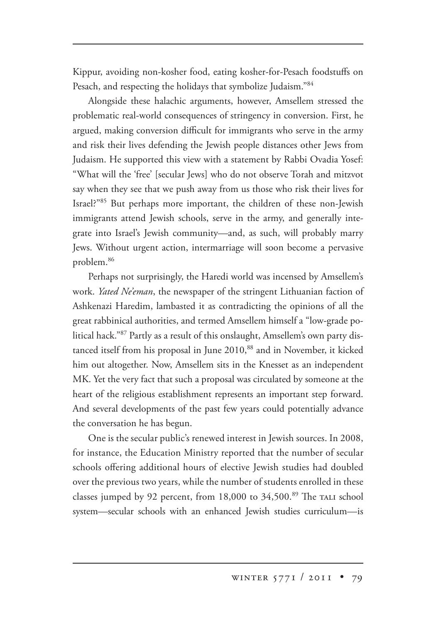Kippur, avoiding non-kosher food, eating kosher-for-Pesach foodstuffs on Pesach, and respecting the holidays that symbolize Judaism."<sup>84</sup>

Alongside these halachic arguments, however, Amsellem stressed the problematic real-world consequences of stringency in conversion. First, he argued, making conversion difficult for immigrants who serve in the army and risk their lives defending the Jewish people distances other Jews from Judaism. He supported this view with a statement by Rabbi Ovadia Yosef: "What will the 'free' [secular Jews] who do not observe Torah and mitzvot say when they see that we push away from us those who risk their lives for Israel?"85 But perhaps more important, the children of these non-Jewish immigrants attend Jewish schools, serve in the army, and generally integrate into Israel's Jewish community—and, as such, will probably marry Jews. Without urgent action, intermarriage will soon become a pervasive problem.86

Perhaps not surprisingly, the Haredi world was incensed by Amsellem's work. *Yated Ne'eman*, the newspaper of the stringent Lithuanian faction of Ashkenazi Haredim, lambasted it as contradicting the opinions of all the great rabbinical authorities, and termed Amsellem himself a "low-grade political hack."87 Partly as a result of this onslaught, Amsellem's own party distanced itself from his proposal in June 2010,<sup>88</sup> and in November, it kicked him out altogether. Now, Amsellem sits in the Knesset as an independent MK. Yet the very fact that such a proposal was circulated by someone at the heart of the religious establishment represents an important step forward. And several developments of the past few years could potentially advance the conversation he has begun.

One is the secular public's renewed interest in Jewish sources. In 2008, for instance, the Education Ministry reported that the number of secular schools offering additional hours of elective Jewish studies had doubled over the previous two years, while the number of students enrolled in these classes jumped by 92 percent, from 18,000 to 34,500.<sup>89</sup> The TALI school system—secular schools with an enhanced Jewish studies curriculum—is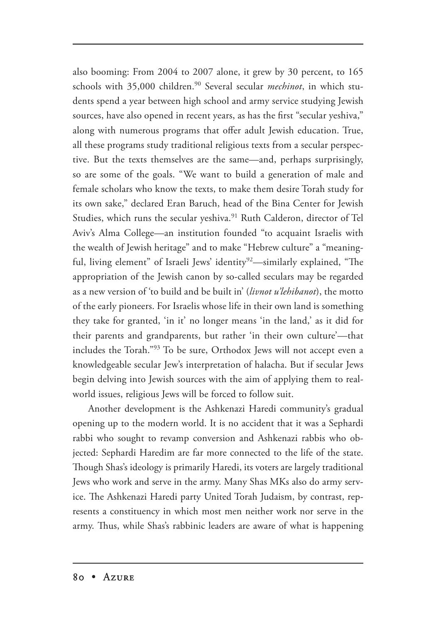also booming: From 2004 to 2007 alone, it grew by 30 percent, to 165 schools with 35,000 children.<sup>90</sup> Several secular *mechinot*, in which students spend a year between high school and army service studying Jewish sources, have also opened in recent years, as has the first "secular yeshiva," along with numerous programs that offer adult Jewish education. True, all these programs study traditional religious texts from a secular perspective. But the texts themselves are the same—and, perhaps surprisingly, so are some of the goals. "We want to build a generation of male and female scholars who know the texts, to make them desire Torah study for its own sake," declared Eran Baruch, head of the Bina Center for Jewish Studies, which runs the secular yeshiva.<sup>91</sup> Ruth Calderon, director of Tel Aviv's Alma College—an institution founded "to acquaint Israelis with the wealth of Jewish heritage" and to make "Hebrew culture" a "meaningful, living element" of Israeli Jews' identity<sup>92</sup>—similarly explained, "The appropriation of the Jewish canon by so-called seculars may be regarded as a new version of 'to build and be built in' (*livnot u'lehibanot*), the motto of the early pioneers. For Israelis whose life in their own land is something they take for granted, 'in it' no longer means 'in the land,' as it did for their parents and grandparents, but rather 'in their own culture'—that includes the Torah."<sup>93</sup> To be sure, Orthodox Jews will not accept even a knowledgeable secular Jew's interpretation of halacha. But if secular Jews begin delving into Jewish sources with the aim of applying them to realworld issues, religious Jews will be forced to follow suit.

Another development is the Ashkenazi Haredi community's gradual opening up to the modern world. It is no accident that it was a Sephardi rabbi who sought to revamp conversion and Ashkenazi rabbis who objected: Sephardi Haredim are far more connected to the life of the state. Though Shas's ideology is primarily Haredi, its voters are largely traditional Jews who work and serve in the army. Many Shas MKs also do army service. The Ashkenazi Haredi party United Torah Judaism, by contrast, represents a constituency in which most men neither work nor serve in the army. Thus, while Shas's rabbinic leaders are aware of what is happening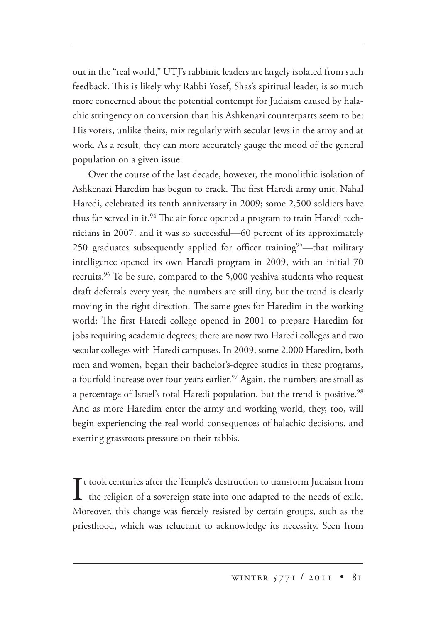out in the "real world," UTJ's rabbinic leaders are largely isolated from such feedback. This is likely why Rabbi Yosef, Shas's spiritual leader, is so much more concerned about the potential contempt for Judaism caused by halachic stringency on conversion than his Ashkenazi counterparts seem to be: His voters, unlike theirs, mix regularly with secular Jews in the army and at work. As a result, they can more accurately gauge the mood of the general population on a given issue.

Over the course of the last decade, however, the monolithic isolation of Ashkenazi Haredim has begun to crack. The first Haredi army unit, Nahal Haredi, celebrated its tenth anniversary in 2009; some 2,500 soldiers have thus far served in it.<sup>94</sup> The air force opened a program to train Haredi technicians in 2007, and it was so successful—60 percent of its approximately 250 graduates subsequently applied for officer training<sup>95</sup>—that military intelligence opened its own Haredi program in 2009, with an initial 70 recruits.<sup>96</sup> To be sure, compared to the 5,000 yeshiva students who request draft deferrals every year, the numbers are still tiny, but the trend is clearly moving in the right direction. The same goes for Haredim in the working world: The first Haredi college opened in 2001 to prepare Haredim for jobs requiring academic degrees; there are now two Haredi colleges and two secular colleges with Haredi campuses. In 2009, some 2,000 Haredim, both men and women, began their bachelor's-degree studies in these programs, a fourfold increase over four years earlier.<sup>97</sup> Again, the numbers are small as a percentage of Israel's total Haredi population, but the trend is positive.<sup>98</sup> And as more Haredim enter the army and working world, they, too, will begin experiencing the real-world consequences of halachic decisions, and exerting grassroots pressure on their rabbis.

It took centuries after the Temple's destruction to transform Judaism from<br>the religion of a sovereign state into one adapted to the needs of exile. the religion of a sovereign state into one adapted to the needs of exile. Moreover, this change was fiercely resisted by certain groups, such as the priesthood, which was reluctant to acknowledge its necessity. Seen from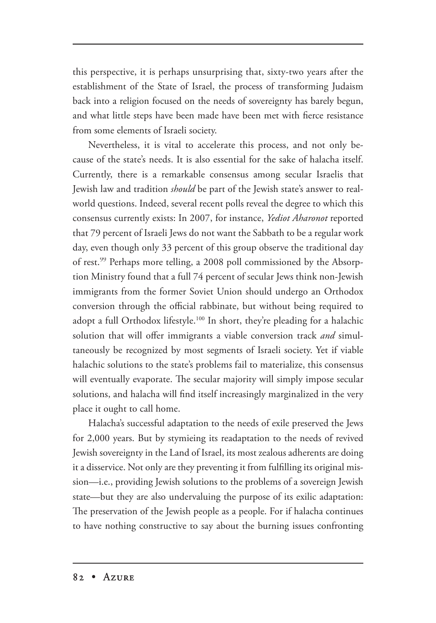this perspective, it is perhaps unsurprising that, sixty-two years after the establishment of the State of Israel, the process of transforming Judaism back into a religion focused on the needs of sovereignty has barely begun, and what little steps have been made have been met with fierce resistance from some elements of Israeli society.

Nevertheless, it is vital to accelerate this process, and not only because of the state's needs. It is also essential for the sake of halacha itself. Currently, there is a remarkable consensus among secular Israelis that Jewish law and tradition *should* be part of the Jewish state's answer to realworld questions. Indeed, several recent polls reveal the degree to which this consensus currently exists: In 2007, for instance, *Yediot Aharonot* reported that 79 percent of Israeli Jews do not want the Sabbath to be a regular work day, even though only 33 percent of this group observe the traditional day of rest.<sup>99</sup> Perhaps more telling, a 2008 poll commissioned by the Absorption Ministry found that a full 74 percent of secular Jews think non-Jewish immigrants from the former Soviet Union should undergo an Orthodox conversion through the official rabbinate, but without being required to adopt a full Orthodox lifestyle.100 In short, they're pleading for a halachic solution that will offer immigrants a viable conversion track *and* simultaneously be recognized by most segments of Israeli society. Yet if viable halachic solutions to the state's problems fail to materialize, this consensus will eventually evaporate. The secular majority will simply impose secular solutions, and halacha will find itself increasingly marginalized in the very place it ought to call home.

Halacha's successful adaptation to the needs of exile preserved the Jews for 2,000 years. But by stymieing its readaptation to the needs of revived Jewish sovereignty in the Land of Israel, its most zealous adherents are doing it a disservice. Not only are they preventing it from fulfilling its original mission—i.e., providing Jewish solutions to the problems of a sovereign Jewish state—but they are also undervaluing the purpose of its exilic adaptation: The preservation of the Jewish people as a people. For if halacha continues to have nothing constructive to say about the burning issues confronting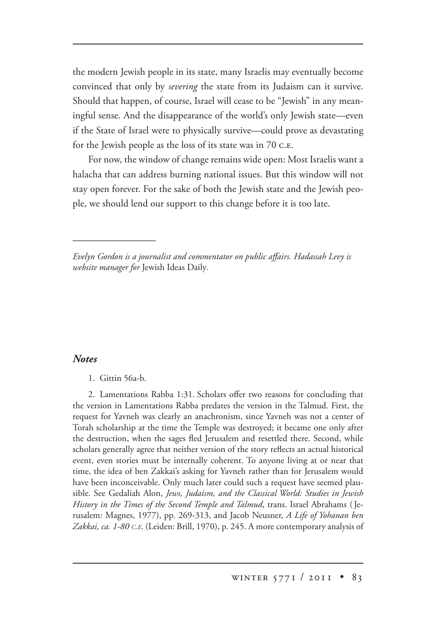the modern Jewish people in its state, many Israelis may eventually become convinced that only by *severing* the state from its Judaism can it survive. Should that happen, of course, Israel will cease to be "Jewish" in any meaningful sense. And the disappearance of the world's only Jewish state—even if the State of Israel were to physically survive—could prove as devastating for the Jewish people as the loss of its state was in  $70$  c.e.

For now, the window of change remains wide open: Most Israelis want a halacha that can address burning national issues. But this window will not stay open forever. For the sake of both the Jewish state and the Jewish people, we should lend our support to this change before it is too late.

## *Notes*

2. Lamentations Rabba 1:31. Scholars offer two reasons for concluding that the version in Lamentations Rabba predates the version in the Talmud. First, the request for Yavneh was clearly an anachronism, since Yavneh was not a center of Torah scholarship at the time the Temple was destroyed; it became one only after the destruction, when the sages fled Jerusalem and resettled there. Second, while scholars generally agree that neither version of the story reflects an actual historical event, even stories must be internally coherent. To anyone living at or near that time, the idea of ben Zakkai's asking for Yavneh rather than for Jerusalem would have been inconceivable. Only much later could such a request have seemed plausible. See Gedaliah Alon, *Jews, Judaism, and the Classical World: Studies in Jewish History in the Times of the Second Temple and Talmud*, trans. Israel Abrahams (Jerusalem: Magnes, 1977), pp. 269-313, and Jacob Neusner, *A Life of Yohanan ben Zakkai, ca. 1-80 C.E.* (Leiden: Brill, 1970), p. 245. A more contemporary analysis of

*Evelyn Gordon is a journalist and commentator on public affairs. Hadassah Levy is website manager for* Jewish Ideas Daily*.*

<sup>1.</sup> Gittin 56a-b.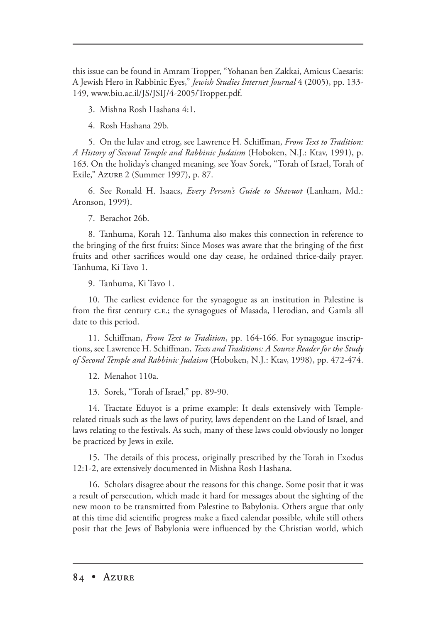this issue can be found in Amram Tropper, "Yohanan ben Zakkai, Amicus Caesaris: A Jewish Hero in Rabbinic Eyes," *Jewish Studies Internet Journal* 4 (2005), pp. 133- 149, www.biu.ac.il/JS/JSIJ/4-2005/Tropper.pdf.

3. Mishna Rosh Hashana 4:1.

4. Rosh Hashana 29b.

5. On the lulav and etrog, see Lawrence H. Schiffman, *From Text to Tradition: A History of Second Temple and Rabbinic Judaism* (Hoboken, N.J.: Ktav, 1991), p. 163. On the holiday's changed meaning, see Yoav Sorek, "Torah of Israel, Torah of Exile," Azure 2 (Summer 1997), p. 87.

6. See Ronald H. Isaacs, *Every Person's Guide to Shavuot* (Lanham, Md.: (Lanham, Aronson, 1999).

7. Berachot 26b.

8. Tanhuma, Korah 12. Tanhuma also makes this connection in reference to the bringing of the first fruits: Since Moses was aware that the bringing of the first fruits and other sacrifices would one day cease, he ordained thrice-daily prayer. Tanhuma, Ki Tavo 1.

9. Tanhuma, Ki Tavo 1.

10. The earliest evidence for the synagogue as an institution in Palestine is from the first century c.e.; the synagogues of Masada, Herodian, and Gamla all date to this period.

11. Schiffman, *From Text to Tradition*, pp. 164-166. For synagogue inscriptions, see Lawrence H. Schiffman, *Texts and Traditions: A Source Reader for the Study of Second Temple and Rabbinic Judaism* (Hoboken, N.J.: Ktav, 1998), pp. 472-474.

12. Menahot 110a.

13. Sorek, "Torah of Israel," pp. 89-90.

14. Tractate Eduyot is a prime example: It deals extensively with Templerelated rituals such as the laws of purity, laws dependent on the Land of Israel, and laws relating to the festivals. As such, many of these laws could obviously no longer be practiced by Jews in exile.

15. The details of this process, originally prescribed by the Torah in Exodus 12:1-2, are extensively documented in Mishna Rosh Hashana.

16. Scholars disagree about the reasons for this change. Some posit that it was a result of persecution, which made it hard for messages about the sighting of the new moon to be transmitted from Palestine to Babylonia. Others argue that only at this time did scientific progress make a fixed calendar possible, while still others posit that the Jews of Babylonia were influenced by the Christian world, which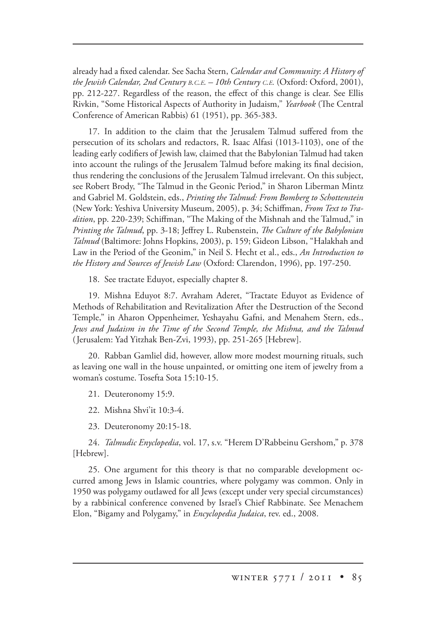already had a fixed calendar. See Sacha Stern, *Calendar and Community*: *A History of the Jewish Calendar, 2nd Century B.C.E. – 10th Century C.E.* (Oxford: Oxford, 2001), pp. 212-227. Regardless of the reason, the effect of this change is clear. See Ellis Rivkin, "Some Historical Aspects of Authority in Judaism," *Yearbook* (The Central Conference of American Rabbis) 61 (1951), pp. 365-383.

17. In addition to the claim that the Jerusalem Talmud suffered from the persecution of its scholars and redactors, R. Isaac Alfasi (1013-1103), one of the leading early codifiers of Jewish law, claimed that the Babylonian Talmud had taken into account the rulings of the Jerusalem Talmud before making its final decision, thus rendering the conclusions of the Jerusalem Talmud irrelevant. On this subject, see Robert Brody, "The Talmud in the Geonic Period," in Sharon Liberman Mintz and Gabriel M. Goldstein, eds., *Printing the Talmud: From Bomberg to Schottenstein*  (New York: Yeshiva University Museum, 2005), p. 34; Schiffman, *From Text to Tra*dition, pp. 220-239; Schiffman, "The Making of the Mishnah and the Talmud," in *Printing the Talmud*, pp. 3-18; Jeffrey L. Rubenstein, *The Culture of the Babylonian Talmud* (Baltimore: Johns Hopkins, 2003), p. 159; Gideon Libson, "Halakhah and Law in the Period of the Geonim," in Neil S. Hecht et al., eds., *An Introduction to the History and Sources of Jewish Law* (Oxford: Clarendon, 1996), pp. 197-250.

18. See tractate Eduyot, especially chapter 8.

19. Mishna Eduyot 8:7. Avraham Aderet, "Tractate Eduyot as Evidence of Methods of Rehabilitation and Revitalization After the Destruction of the Second Temple," in Aharon Oppenheimer, Yeshayahu Gafni, and Menahem Stern, eds., *Jews and Judaism in the Time of the Second Temple, the Mishna, and the Talmud*  (Jerusalem: Yad Yitzhak Ben-Zvi, 1993), pp. 251-265 [Hebrew].

20. Rabban Gamliel did, however, allow more modest mourning rituals, such as leaving one wall in the house unpainted, or omitting one item of jewelry from a woman's costume. Tosefta Sota 15:10-15.

21. Deuteronomy 15:9.

22. Mishna Shvi'it 10:3-4.

23. Deuteronomy 20:15-18.

24. *Talmudic Enyclopedia*, vol. 17, s.v. "Herem D'Rabbeinu Gershom," p. 378 [Hebrew].

25. One argument for this theory is that no comparable development occurred among Jews in Islamic countries, where polygamy was common. Only in 1950 was polygamy outlawed for all Jews (except under very special circumstances) by a rabbinical conference convened by Israel's Chief Rabbinate. See Menachem Elon, "Bigamy and Polygamy," in *Encyclopedia Judaica*, rev. ed., 2008.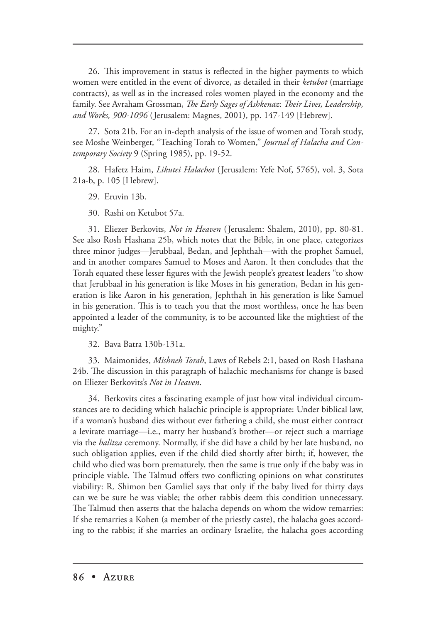26. This improvement in status is reflected in the higher payments to which women were entitled in the event of divorce, as detailed in their *ketubot* (marriage contracts), as well as in the increased roles women played in the economy and the family. See Avraham Grossman, *The Early Sages of Ashkenaz: Their Lives, Leadership, and Works, 900-1096* (Jerusalem: Magnes, 2001), pp. 147-149 [Hebrew].

27. Sota 21b. For an in-depth analysis of the issue of women and Torah study, see Moshe Weinberger, "Teaching Torah to Women," *Journal of Halacha and Contemporary Society* 9 (Spring 1985), pp. 19-52.

28. Hafetz Haim, *Likutei Halachot* (Jerusalem: Yefe Nof, 5765), vol. 3, Sota 21a-b, p. 105 [Hebrew].

29. Eruvin 13b.

30. Rashi on Ketubot 57a.

31. Eliezer Berkovits, *Not in Heaven* ( Jerusalem: Shalem, 2010), pp. 80-81. See also Rosh Hashana 25b, which notes that the Bible, in one place, categorizes three minor judges—Jerubbaal, Bedan, and Jephthah—with the prophet Samuel, and in another compares Samuel to Moses and Aaron. It then concludes that the Torah equated these lesser figures with the Jewish people's greatest leaders "to show that Jerubbaal in his generation is like Moses in his generation, Bedan in his generation is like Aaron in his generation, Jephthah in his generation is like Samuel in his generation. This is to teach you that the most worthless, once he has been appointed a leader of the community, is to be accounted like the mightiest of the mighty."

32. Bava Batra 130b-131a.

33. Maimonides, *Mishneh Torah*, Laws of Rebels 2:1, based on Rosh Hashana 24b. The discussion in this paragraph of halachic mechanisms for change is based on Eliezer Berkovits's *Not in Heaven*.

34. Berkovits cites a fascinating example of just how vital individual circumstances are to deciding which halachic principle is appropriate: Under biblical law, if a woman's husband dies without ever fathering a child, she must either contract a levirate marriage—i.e., marry her husband's brother—or reject such a marriage via the *halitza* ceremony. Normally, if she did have a child by her late husband, no such obligation applies, even if the child died shortly after birth; if, however, the child who died was born prematurely, then the same is true only if the baby was in principle viable. The Talmud offers two conflicting opinions on what constitutes viability: R. Shimon ben Gamliel says that only if the baby lived for thirty days can we be sure he was viable; the other rabbis deem this condition unnecessary. The Talmud then asserts that the halacha depends on whom the widow remarries: If she remarries a Kohen (a member of the priestly caste), the halacha goes according to the rabbis; if she marries an ordinary Israelite, the halacha goes according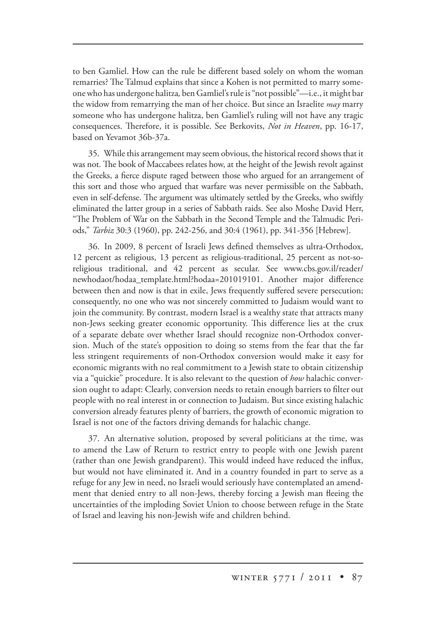to ben Gamliel. How can the rule be different based solely on whom the woman remarries? The Talmud explains that since a Kohen is not permitted to marry someone who has undergone halitza*,* ben Gamliel's rule is "not possible"—i.e., it might bar the widow from remarrying the man of her choice. But since an Israelite *may* marry someone who has undergone halitza, ben Gamliel's ruling will not have any tragic consequences. Therefore, it is possible. See Berkovits, *Not in Heaven*, pp. 16-17, based on Yevamot 36b-37a.

35. While this arrangement may seem obvious, the historical record shows that it was not. The book of Maccabees relates how, at the height of the Jewish revolt against the Greeks, a fierce dispute raged between those who argued for an arrangement of this sort and those who argued that warfare was never permissible on the Sabbath, even in self-defense. The argument was ultimately settled by the Greeks, who swiftly eliminated the latter group in a series of Sabbath raids. See also Moshe David Herr, "The Problem of War on the Sabbath in the Second Temple and the Talmudic Periods," *Tarbiz* 30:3 (1960), pp. 242-256, and 30:4 (1961), pp. 341-356 [Hebrew].

36. In 2009, 8 percent of Israeli Jews defined themselves as ultra-Orthodox, 12 percent as religious, 13 percent as religious-traditional, 25 percent as not-soreligious traditional, and 42 percent as secular. See www.cbs.gov.il/reader/ newhodaot/hodaa\_template.html?hodaa=201019101. Another major difference between then and now is that in exile, Jews frequently suffered severe persecution; consequently, no one who was not sincerely committed to Judaism would want to join the community. By contrast, modern Israel is a wealthy state that attracts many non-Jews seeking greater economic opportunity. This difference lies at the crux of a separate debate over whether Israel should recognize non-Orthodox conversion. Much of the state's opposition to doing so stems from the fear that the far less stringent requirements of non-Orthodox conversion would make it easy for economic migrants with no real commitment to a Jewish state to obtain citizenship via a "quickie" procedure. It is also relevant to the question of *how* halachic conversion ought to adapt: Clearly, conversion needs to retain enough barriers to filter out people with no real interest in or connection to Judaism. But since existing halachic conversion already features plenty of barriers, the growth of economic migration to Israel is not one of the factors driving demands for halachic change.

37. An alternative solution, proposed by several politicians at the time, was to amend the Law of Return to restrict entry to people with one Jewish parent (rather than one Jewish grandparent). This would indeed have reduced the influx, but would not have eliminated it. And in a country founded in part to serve as a refuge for any Jew in need, no Israeli would seriously have contemplated an amendment that denied entry to all non-Jews, thereby forcing a Jewish man fleeing the uncertainties of the imploding Soviet Union to choose between refuge in the State of Israel and leaving his non-Jewish wife and children behind.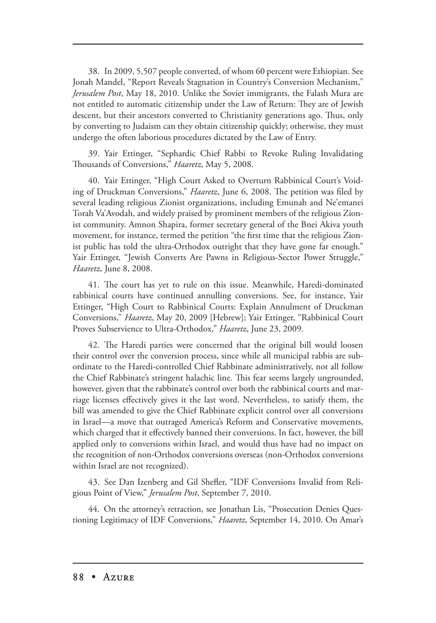38. In 2009, 5,507 people converted, of whom 60 percent were Ethiopian. See Jonah Mandel, "Report Reveals Stagnation in Country's Conversion Mechanism," *Jerusalem Post*, May 18, 2010. Unlike the Soviet immigrants, the Falash Mura are not entitled to automatic citizenship under the Law of Return: They are of Jewish descent, but their ancestors converted to Christianity generations ago. Thus, only by converting to Judaism can they obtain citizenship quickly; otherwise, they must undergo the often laborious procedures dictated by the Law of Entry.

39. Yair Ettinger, "Sephardic Chief Rabbi to Revoke Ruling Invalidating Thousands of Conversions," *Haaretz*, May 5, 2008.

40. Yair Ettinger, "High Court Asked to Overturn Rabbinical Court's Voiding of Druckman Conversions," *Haaretz*, June 6, 2008. The petition was filed by several leading religious Zionist organizations, including Emunah and Ne'emanei Torah Va'Avodah, and widely praised by prominent members of the religious Zionist community. Amnon Shapira, former secretary general of the Bnei Akiva youth movement, for instance, termed the petition "the first time that the religious Zionist public has told the ultra-Orthodox outright that they have gone far enough." Yair Ettinger, "Jewish Converts Are Pawns in Religious-Sector Power Struggle," *Haaretz*, June 8, 2008.

41. The court has yet to rule on this issue. Meanwhile, Haredi-dominated rabbinical courts have continued annulling conversions. See, for instance, Yair Ettinger, "High Court to Rabbinical Courts: Explain Annulment of Druckman Conversions," *Haaretz*, May 20, 2009 [Hebrew]; Yair Ettinger, "Rabbinical Court Proves Subservience to Ultra-Orthodox," *Haaretz*, June 23, 2009.

42. The Haredi parties were concerned that the original bill would loosen their control over the conversion process, since while all municipal rabbis are subordinate to the Haredi-controlled Chief Rabbinate administratively, not all follow the Chief Rabbinate's stringent halachic line. This fear seems largely ungrounded, however, given that the rabbinate's control over both the rabbinical courts and marriage licenses effectively gives it the last word. Nevertheless, to satisfy them, the bill was amended to give the Chief Rabbinate explicit control over all conversions in Israel—a move that outraged America's Reform and Conservative movements, which charged that it effectively banned their conversions. In fact, however, the bill applied only to conversions within Israel, and would thus have had no impact on the recognition of non-Orthodox conversions overseas (non-Orthodox conversions within Israel are not recognized).

43. See Dan Izenberg and Gil Shefler, "IDF Conversions Invalid from Religious Point of View," *Jerusalem Post*, September 7, 2010.

44. On the attorney's retraction, see Jonathan Lis, "Prosecution Denies Questioning Legitimacy of IDF Conversions," *Haaretz*, September 14, 2010. On Amar's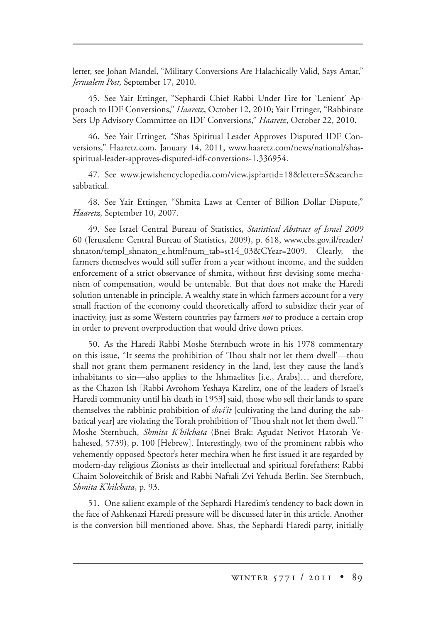letter, see Johan Mandel, "Military Conversions Are Halachically Valid, Says Amar," *Jerusalem Post,* September 17, 2010.

45. See Yair Ettinger, "Sephardi Chief Rabbi Under Fire for 'Lenient' Approach to IDF Conversions," *Haaretz*, October 12, 2010; Yair Ettinger, "Rabbinate Sets Up Advisory Committee on IDF Conversions," *Haaretz*, October 22, 2010.

46. See Yair Ettinger, "Shas Spiritual Leader Approves Disputed IDF Conversions," Haaretz.com, January 14, 2011, www.haaretz.com/news/national/shasspiritual-leader-approves-disputed-idf-conversions-1.336954.

47. See www.jewishencyclopedia.com/view.jsp?artid=18&letter=S&search= sabbatical.

48. See Yair Ettinger, "Shmita Laws at Center of Billion Dollar Dispute," *Haaretz*, September 10, 2007.

49. See Israel Central Bureau of Statistics, *Statistical Abstract of Israel 2009*  60 (Jerusalem: Central Bureau of Statistics, 2009), p. 618, www.cbs.gov.il/reader/ shnaton/templ\_shnaton\_e.html?num\_tab=st14\_03&CYear=2009. Clearly, the farmers themselves would still suffer from a year without income, and the sudden enforcement of a strict observance of shmita, without first devising some mechanism of compensation, would be untenable. But that does not make the Haredi solution untenable in principle. A wealthy state in which farmers account for a very small fraction of the economy could theoretically afford to subsidize their year of inactivity, just as some Western countries pay farmers *not* to produce a certain crop in order to prevent overproduction that would drive down prices.

50. As the Haredi Rabbi Moshe Sternbuch wrote in his 1978 commentary on this issue, "It seems the prohibition of 'Thou shalt not let them dwell'—thou shall not grant them permanent residency in the land, lest they cause the land's inhabitants to sin—also applies to the Ishmaelites [i.e., Arabs]… and therefore, as the Chazon Ish [Rabbi Avrohom Yeshaya Karelitz, one of the leaders of Israel's Haredi community until his death in 1953] said, those who sell their lands to spare themselves the rabbinic prohibition of *shvi'it* [cultivating the land during the sabbatical year] are violating the Torah prohibition of 'Thou shalt not let them dwell.'" Moshe Sternbuch, *Shmita K'hilchata*l (Bnei Brak: Agudat Netivot Hatorah Vehahesed, 5739), p. 100 [Hebrew]. Interestingly, two of the prominent rabbis who vehemently opposed Spector's heter mechira when he first issued it are regarded by modern-day religious Zionists as their intellectual and spiritual forefathers: Rabbi Chaim Soloveitchik of Brisk and Rabbi Naftali Zvi Yehuda Berlin. See Sternbuch, *Shmita K'hilchata*, p. 93.

51. One salient example of the Sephardi Haredim's tendency to back down in the face of Ashkenazi Haredi pressure will be discussed later in this article. Another is the conversion bill mentioned above. Shas, the Sephardi Haredi party, initially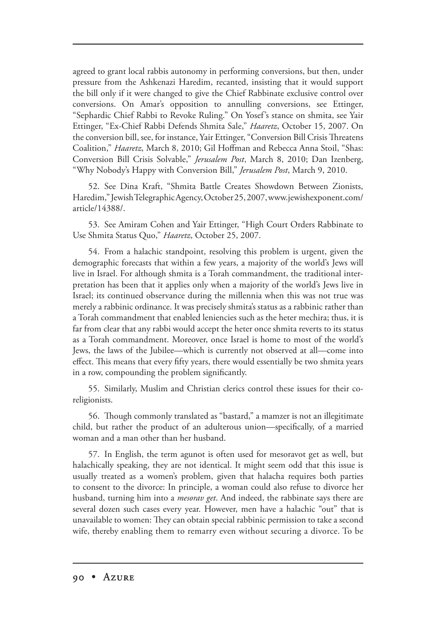agreed to grant local rabbis autonomy in performing conversions, but then, under pressure from the Ashkenazi Haredim, recanted, insisting that it would support the bill only if it were changed to give the Chief Rabbinate exclusive control over conversions. On Amar's opposition to annulling conversions, see Ettinger, "Sephardic Chief Rabbi to Revoke Ruling." On Yosef's stance on shmita, see Yair Ettinger, "Ex-Chief Rabbi Defends Shmita Sale," *Haaretz*, October 15, 2007. On the conversion bill, see, for instance, Yair Ettinger, "Conversion Bill Crisis Threatens Coalition," *Haaretz*, March 8, 2010; Gil Hoffman and Rebecca Anna Stoil, "Shas: Conversion Bill Crisis Solvable," *Jerusalem Post*, March 8, 2010; Dan Izenberg, "Why Nobody's Happy with Conversion Bill," *Jerusalem Post*, March 9, 2010.

52. See Dina Kraft, "Shmita Battle Creates Showdown Between Zionists, Haredim," Jewish Telegraphic Agency, October 25, 2007, www.jewishexponent.com/ article/14388/.

53. See Amiram Cohen and Yair Ettinger, "High Court Orders Rabbinate to Use Shmita Status Quo," *Haaretz*, October 25, 2007.

54. From a halachic standpoint, resolving this problem is urgent, given the demographic forecasts that within a few years, a majority of the world's Jews will live in Israel. For although shmita is a Torah commandment, the traditional interpretation has been that it applies only when a majority of the world's Jews live in Israel; its continued observance during the millennia when this was not true was merely a rabbinic ordinance. It was precisely shmita's status as a rabbinic rather than a Torah commandment that enabled leniencies such as the heter mechira; thus, it is far from clear that any rabbi would accept the heter once shmita reverts to its status as a Torah commandment. Moreover, once Israel is home to most of the world's Jews, the laws of the Jubilee—which is currently not observed at all—come into effect. This means that every fifty years, there would essentially be two shmita years in a row, compounding the problem significantly.

55. Similarly, Muslim and Christian clerics control these issues for their coreligionists.

56. Though commonly translated as "bastard," a mamzer is not an illegitimate child, but rather the product of an adulterous union—specifically, of a married woman and a man other than her husband.

57. In English, the term agunot is often used for mesoravot get as well, but halachically speaking, they are not identical. It might seem odd that this issue is usually treated as a women's problem, given that halacha requires both parties to consent to the divorce: In principle, a woman could also refuse to divorce her husband, turning him into a *mesorav get*. And indeed, the rabbinate says there are several dozen such cases every year. However, men have a halachic "out" that is unavailable to women: They can obtain special rabbinic permission to take a second wife, thereby enabling them to remarry even without securing a divorce. To be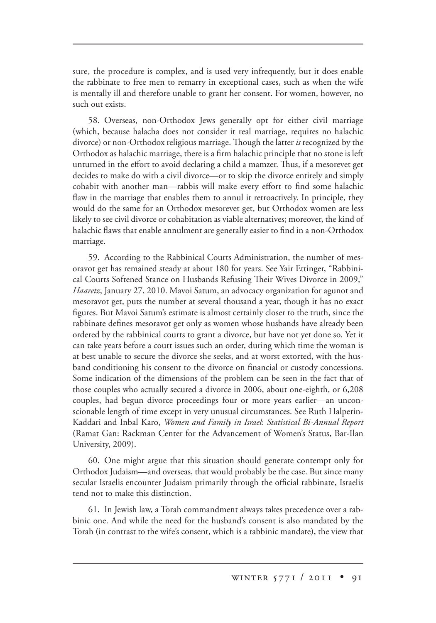sure, the procedure is complex, and is used very infrequently, but it does enable the rabbinate to free men to remarry in exceptional cases, such as when the wife is mentally ill and therefore unable to grant her consent. For women, however, no such out exists.

58. Overseas, non-Orthodox Jews generally opt for either civil marriage (which, because halacha does not consider it real marriage, requires no halachic divorce) or non-Orthodox religious marriage. Though the latter *is* recognized by the Orthodox as halachic marriage, there is a firm halachic principle that no stone is left unturned in the effort to avoid declaring a child a mamzer. Thus, if a mesorevet get decides to make do with a civil divorce—or to skip the divorce entirely and simply cohabit with another man—rabbis will make every effort to find some halachic flaw in the marriage that enables them to annul it retroactively. In principle, they would do the same for an Orthodox mesorevet get, but Orthodox women are less likely to see civil divorce or cohabitation as viable alternatives; moreover, the kind of halachic flaws that enable annulment are generally easier to find in a non-Orthodox marriage.

59. According to the Rabbinical Courts Administration, the number of mesoravot get has remained steady at about 180 for years. See Yair Ettinger, "Rabbinical Courts Softened Stance on Husbands Refusing Their Wives Divorce in 2009," *Haaretz*, January 27, 2010. Mavoi Satum, an advocacy organization for agunot and mesoravot get, puts the number at several thousand a year, though it has no exact figures. But Mavoi Satum's estimate is almost certainly closer to the truth, since the rabbinate defines mesoravot get only as women whose husbands have already been ordered by the rabbinical courts to grant a divorce, but have not yet done so. Yet it can take years before a court issues such an order, during which time the woman is at best unable to secure the divorce she seeks, and at worst extorted, with the husband conditioning his consent to the divorce on financial or custody concessions. Some indication of the dimensions of the problem can be seen in the fact that of those couples who actually secured a divorce in 2006, about one-eighth, or 6,208 couples, had begun divorce proceedings four or more years earlier—an unconscionable length of time except in very unusual circumstances. See Ruth Halperin-Kaddari and Inbal Karo, *Women and Family in Israel*: *Statistical Bi-Annual Report* (Ramat Gan: Rackman Center for the Advancement of Women's Status, Bar-Ilan University, 2009).

60. One might argue that this situation should generate contempt only for Orthodox Judaism—and overseas, that would probably be the case. But since many secular Israelis encounter Judaism primarily through the official rabbinate, Israelis tend not to make this distinction.

61. In Jewish law, a Torah commandment always takes precedence over a rabbinic one. And while the need for the husband's consent is also mandated by the Torah (in contrast to the wife's consent, which is a rabbinic mandate), the view that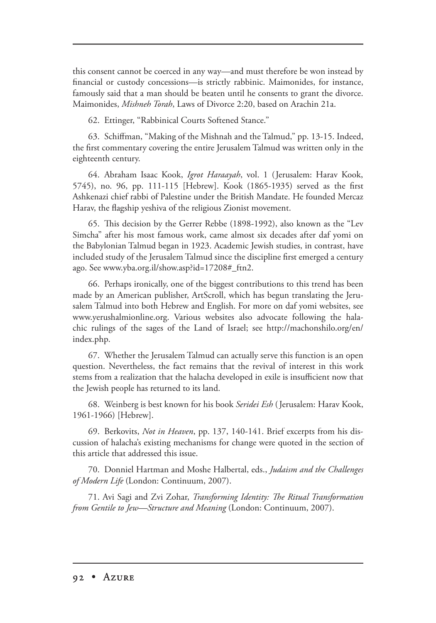this consent cannot be coerced in any way—and must therefore be won instead by financial or custody concessions—is strictly rabbinic. Maimonides, for instance, famously said that a man should be beaten until he consents to grant the divorce. Maimonides, *Mishneh Torah*, Laws of Divorce 2:20, based on Arachin 21a.

62. Ettinger, "Rabbinical Courts Softened Stance."

63. Schiffman, "Making of the Mishnah and the Talmud," pp. 13-15. Indeed, the first commentary covering the entire Jerusalem Talmud was written only in the eighteenth century.

64. Abraham Isaac Kook, *Igrot Haraayah*, vol. 1 (Jerusalem: Harav Kook, 5745), no. 96, pp. 111-115 [Hebrew]. Kook (1865-1935) served as the first Ashkenazi chief rabbi of Palestine under the British Mandate. He founded Mercaz Harav, the flagship yeshiva of the religious Zionist movement.

65. This decision by the Gerrer Rebbe (1898-1992), also known as the "Lev Simcha" after his most famous work, came almost six decades after daf yomi on the Babylonian Talmud began in 1923. Academic Jewish studies, in contrast, have included study of the Jerusalem Talmud since the discipline first emerged a century ago. See www.yba.org.il/show.asp?id=17208#\_ftn2.

66. Perhaps ironically, one of the biggest contributions to this trend has been made by an American publisher, ArtScroll, which has begun translating the Jerusalem Talmud into both Hebrew and English. For more on daf yomi websites, see www.yerushalmionline.org. Various websites also advocate following the halachic rulings of the sages of the Land of Israel; see http://machonshilo.org/en/ index.php.

67. Whether the Jerusalem Talmud can actually serve this function is an open question. Nevertheless, the fact remains that the revival of interest in this work stems from a realization that the halacha developed in exile is insufficient now that the Jewish people has returned to its land.

68. Weinberg is best known for his book *Seridei Esh* ( Jerusalem: Harav Kook, 1961-1966) [Hebrew].

69. Berkovits, *Not in Heaven*, pp. 137, 140-141. Brief excerpts from his discussion of halacha's existing mechanisms for change were quoted in the section of this article that addressed this issue.

70. Donniel Hartman and Moshe Halbertal, eds., *Judaism and the Challenges of Modern Life* (London: Continuum, 2007).

71. Avi Sagi and Zvi Zohar, *Transforming Identity: The Ritual Transformation from Gentile to Jew—Structure and Meaning* (London: Continuum, 2007).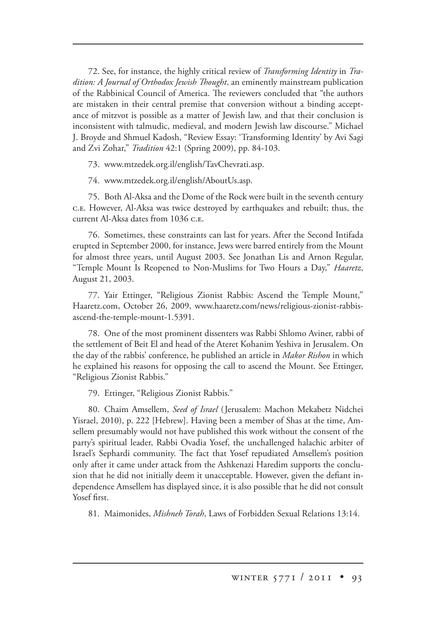72. See, for instance, the highly critical review of *Transforming Identity* in *Tra*dition: A Journal of Orthodox Jewish Thought, an eminently mainstream publication of the Rabbinical Council of America. The reviewers concluded that "the authors are mistaken in their central premise that conversion without a binding acceptance of mitzvot is possible as a matter of Jewish law, and that their conclusion is inconsistent with talmudic, medieval, and modern Jewish law discourse." Michael J. Broyde and Shmuel Kadosh, "Review Essay: 'Transforming Identity' by Avi Sagi and Zvi Zohar," *Tradition* 42:1 (Spring 2009), pp. 84-103.

73. www.mtzedek.org.il/english/TavChevrati.asp.

74. www.mtzedek.org.il/english/AboutUs.asp.

75. Both Al-Aksa and the Dome of the Rock were built in the seventh century .. However, Al-Aksa was twice destroyed by earthquakes and rebuilt; thus, the current Al-Aksa dates from 1036 c.E.

76. Sometimes, these constraints can last for years. After the Second Intifada erupted in September 2000, for instance, Jews were barred entirely from the Mount for almost three years, until August 2003. See Jonathan Lis and Arnon Regular, "Temple Mount Is Reopened to Non-Muslims for Two Hours a Day," *Haaretz*, August 21, 2003.

77. Yair Ettinger, "Religious Zionist Rabbis: Ascend the Temple Mount," Haaretz.com, October 26, 2009, www.haaretz.com/news/religious-zionist-rabbisascend-the-temple-mount-1.5391.

78. One of the most prominent dissenters was Rabbi Shlomo Aviner, rabbi of the settlement of Beit El and head of the Ateret Kohanim Yeshiva in Jerusalem. On the day of the rabbis' conference, he published an article in *Makor Rishon* in which he explained his reasons for opposing the call to ascend the Mount. See Ettinger, "Religious Zionist Rabbis."

79. Ettinger, "Religious Zionist Rabbis."

80. Chaim Amsellem, *Seed of Israel* (Jerusalem: Machon Mekabetz Nidchei Yisrael, 2010), p. 222 [Hebrew]. Having been a member of Shas at the time, Amsellem presumably would not have published this work without the consent of the party's spiritual leader, Rabbi Ovadia Yosef, the unchallenged halachic arbiter of Israel's Sephardi community. The fact that Yosef repudiated Amsellem's position only after it came under attack from the Ashkenazi Haredim supports the conclusion that he did not initially deem it unacceptable. However, given the defiant independence Amsellem has displayed since, it is also possible that he did not consult Yosef first.

81. Maimonides, *Mishneh Torah*, Laws of Forbidden Sexual Relations 13:14.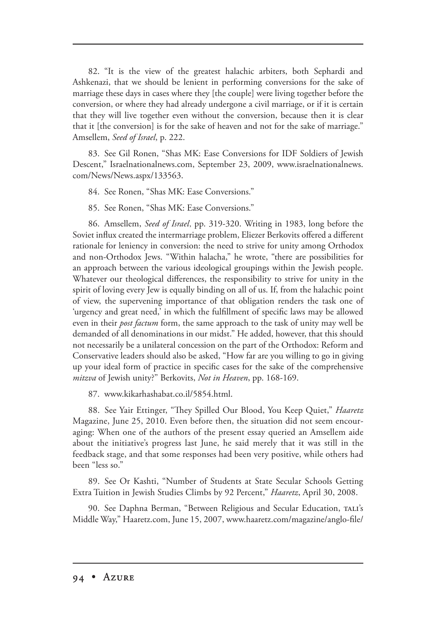82. "It is the view of the greatest halachic arbiters, both Sephardi and Ashkenazi, that we should be lenient in performing conversions for the sake of marriage these days in cases where they [the couple] were living together before the conversion, or where they had already undergone a civil marriage, or if it is certain that they will live together even without the conversion, because then it is clear that it [the conversion] is for the sake of heaven and not for the sake of marriage." Amsellem, *Seed of Israel*, p. 222.

83. See Gil Ronen, "Shas MK: Ease Conversions for IDF Soldiers of Jewish Descent," Israelnationalnews.com, September 23, 2009, www.israelnationalnews. com/News/News.aspx/133563.

84. See Ronen, "Shas MK: Ease Conversions."

85. See Ronen, "Shas MK: Ease Conversions."

86. Amsellem, *Seed of Israel* , pp. 319-320. Writing in 1983, long before the in Soviet influx created the intermarriage problem, Eliezer Berkovits offered a different rationale for leniency in conversion: the need to strive for unity among Orthodox and non-Orthodox Jews. "Within halacha," he wrote, "there are possibilities for an approach between the various ideological groupings within the Jewish people. Whatever our theological differences, the responsibility to strive for unity in the spirit of loving every Jew is equally binding on all of us. If, from the halachic point of view, the supervening importance of that obligation renders the task one of 'urgency and great need,' in which the fulfillment of specific laws may be allowed even in their *post factum* form, the same approach to the task of unity may well be demanded of all denominations in our midst." He added, however, that this should not necessarily be a unilateral concession on the part of the Orthodox: Reform and Conservative leaders should also be asked, "How far are you willing to go in giving up your ideal form of practice in specific cases for the sake of the comprehensive *mitzva* of Jewish unity?" Berkovits, *Not in Heaven*, pp. 168-169.

87. www.kikarhashabat.co.il/5854.html.

88. See Yair Ettinger, "They Spilled Our Blood, You Keep Quiet," *Haaretz* Magazine, June 25, 2010. Even before then, the situation did not seem encouraging: When one of the authors of the present essay queried an Amsellem aide about the initiative's progress last June, he said merely that it was still in the feedback stage, and that some responses had been very positive, while others had been "less so."

89. See Or Kashti, "Number of Students at State Secular Schools Getting Extra Tuition in Jewish Studies Climbs by 92 Percent," *Haaretz*, April 30, 2008.

90. See Daphna Berman, "Between Religious and Secular Education, TALI's Middle Way," Haaretz.com, June 15, 2007, www.haaretz.com/magazine/anglo-file/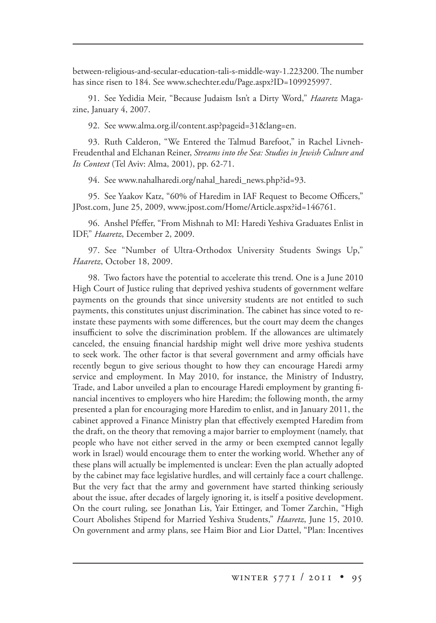between-religious-and-secular-education-tali-s-middle-way-1.223200. The number has since risen to 184. See www.schechter.edu/Page.aspx?ID=109925997.

91. See Yedidia Meir, "Because Judaism Isn't a Dirty Word," *Haaretz* Magazine, January 4, 2007.

92. See www.alma.org.il/content.asp?pageid=31&lang=en.

93. Ruth Calderon, "We Entered the Talmud Barefoot," in Rachel Livneh-Freudenthal and Elchanan Reiner, *Streams into the Sea: Studies in Jewish Culture and Its Context* (Tel Aviv: Alma, 2001), pp. 62-71.

94. See www.nahalharedi.org/nahal\_haredi\_news.php?id=93.

95. See Yaakov Katz, "60% of Haredim in IAF Request to Become Officers," JPost.com, June 25, 2009, www.jpost.com/Home/Article.aspx?id=146761.

96. Anshel Pfeffer, "From Mishnah to MI: Haredi Yeshiva Graduates Enlist in IDF," *Haaretz*, December 2, 2009.

97. See "Number of Ultra-Orthodox University Students Swings Up," *Haaretz*, October 18, 2009.

98. Two factors have the potential to accelerate this trend. One is a June 2010 High Court of Justice ruling that deprived yeshiva students of government welfare payments on the grounds that since university students are not entitled to such payments, this constitutes unjust discrimination. The cabinet has since voted to reinstate these payments with some differences, but the court may deem the changes insufficient to solve the discrimination problem. If the allowances are ultimately canceled, the ensuing financial hardship might well drive more yeshiva students to seek work. The other factor is that several government and army officials have recently begun to give serious thought to how they can encourage Haredi army service and employment. In May 2010, for instance, the Ministry of Industry, Trade, and Labor unveiled a plan to encourage Haredi employment by granting financial incentives to employers who hire Haredim; the following month, the army presented a plan for encouraging more Haredim to enlist, and in January 2011, the cabinet approved a Finance Ministry plan that effectively exempted Haredim from the draft, on the theory that removing a major barrier to employment (namely, that people who have not either served in the army or been exempted cannot legally work in Israel) would encourage them to enter the working world. Whether any of these plans will actually be implemented is unclear: Even the plan actually adopted by the cabinet may face legislative hurdles, and will certainly face a court challenge. But the very fact that the army and government have started thinking seriously about the issue, after decades of largely ignoring it, is itself a positive development. On the court ruling, see Jonathan Lis, Yair Ettinger, and Tomer Zarchin, "High Court Abolishes Stipend for Married Yeshiva Students," *Haaretz*, June 15, 2010. On government and army plans, see Haim Bior and Lior Dattel, "Plan: Incentives